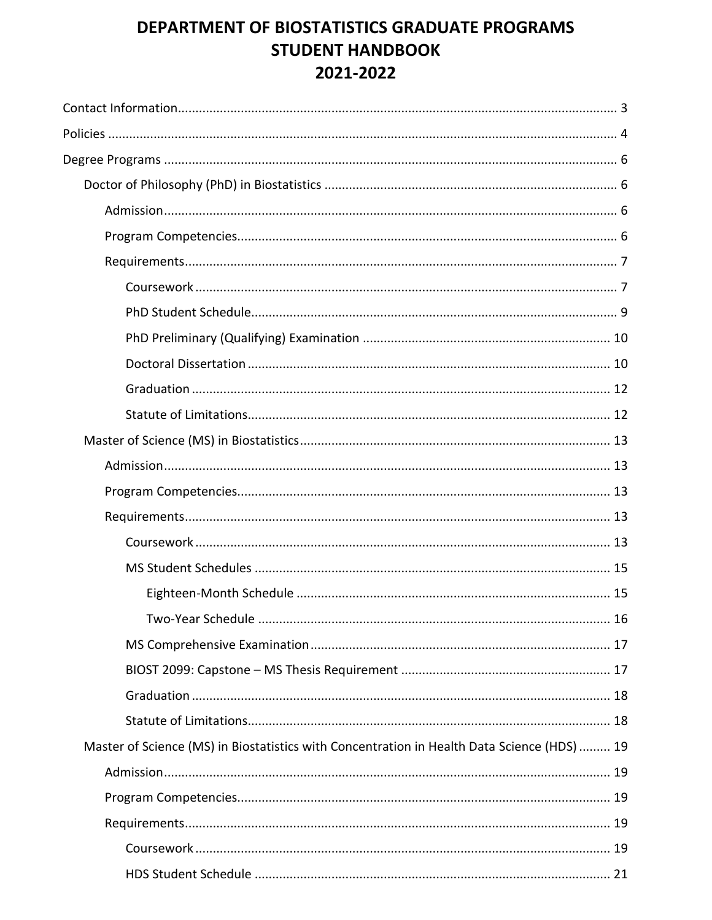# DEPARTMENT OF BIOSTATISTICS GRADUATE PROGRAMS **STUDENT HANDBOOK** 2021-2022

| Master of Science (MS) in Biostatistics with Concentration in Health Data Science (HDS)  19 |  |
|---------------------------------------------------------------------------------------------|--|
|                                                                                             |  |
|                                                                                             |  |
|                                                                                             |  |
|                                                                                             |  |
|                                                                                             |  |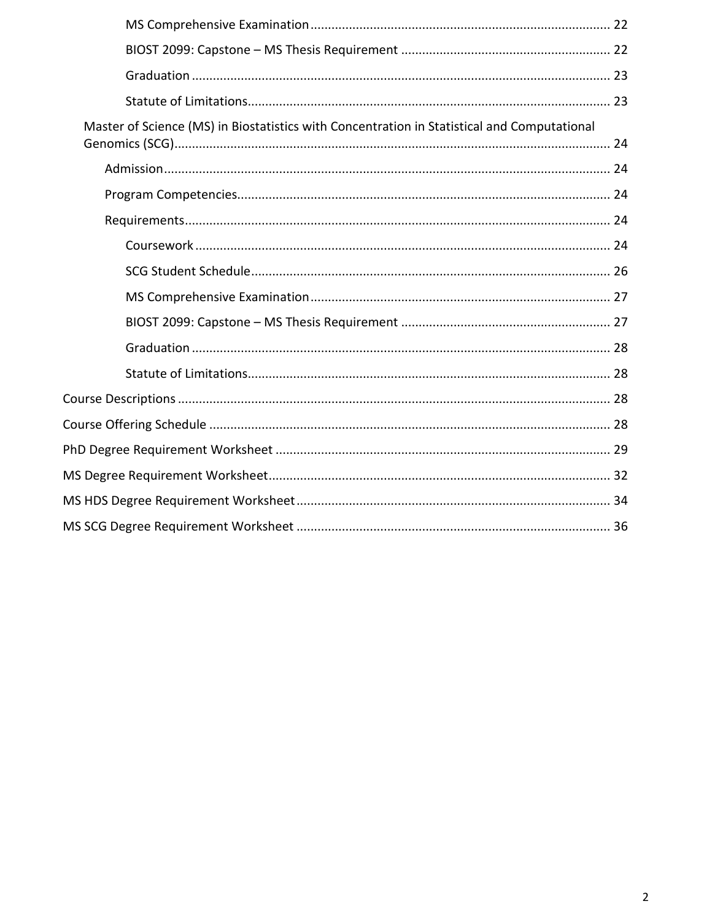| Master of Science (MS) in Biostatistics with Concentration in Statistical and Computational |
|---------------------------------------------------------------------------------------------|
|                                                                                             |
|                                                                                             |
|                                                                                             |
|                                                                                             |
|                                                                                             |
|                                                                                             |
|                                                                                             |
|                                                                                             |
|                                                                                             |
|                                                                                             |
|                                                                                             |
|                                                                                             |
|                                                                                             |
|                                                                                             |
|                                                                                             |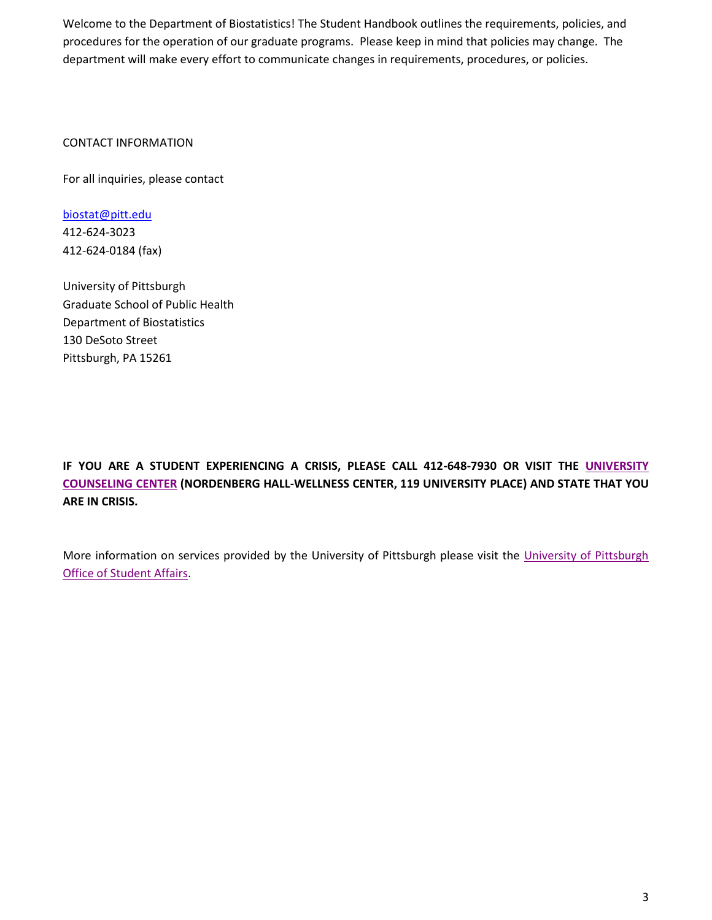Welcome to the Department of Biostatistics! The Student Handbook outlines the requirements, policies, and procedures for the operation of our graduate programs. Please keep in mind that policies may change. The department will make every effort to communicate changes in requirements, procedures, or policies.

CONTACT INFORMATION

For all inquiries, please contact

[biostat@pitt.edu](mailto:biostat@pitt.edu) 412-624-3023 412-624-0184 (fax)

University of Pittsburgh Graduate School of Public Health Department of Biostatistics 130 DeSoto Street Pittsburgh, PA 15261

**IF YOU ARE A STUDENT EXPERIENCING A CRISIS, PLEASE CALL 412-648-7930 OR VISIT THE [UNIVERSITY](https://www.studentaffairs.pitt.edu/cc/)  [COUNSELING](https://www.studentaffairs.pitt.edu/cc/) CENTER (NORDENBERG HALL-WELLNESS CENTER, 119 UNIVERSITY PLACE) AND STATE THAT YOU ARE IN CRISIS.**

More information on services provided by the University of Pittsburgh please visit the [University of Pittsburgh](https://www.studentaffairs.pitt.edu/)  [Office of Student Affairs.](https://www.studentaffairs.pitt.edu/)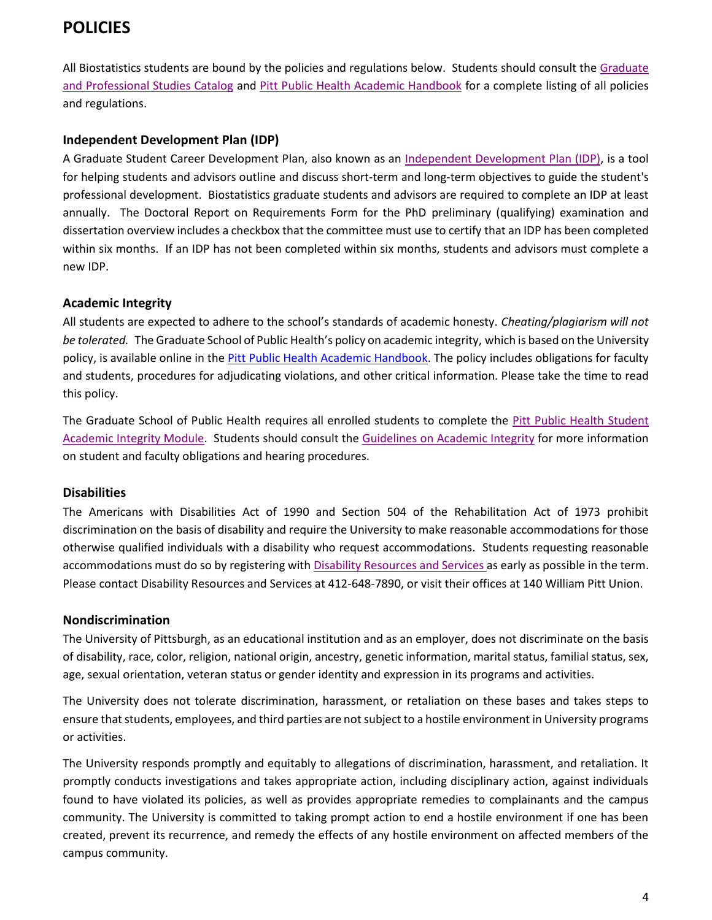# **POLICIES**

All Biostatistics students are bound by the policies and regulations below. Students should consult the [Graduate](https://catalog.upp.pitt.edu/index.php)  [and Professional Studies Catalog](https://catalog.upp.pitt.edu/index.php) and [Pitt Public Health Academic Handbook](https://publichealth.pitt.edu/academic-handbook) for a complete listing of all policies and regulations.

## **Independent Development Plan (IDP)**

A Graduate Student Career Development Plan, also known as an [Independent Development Plan \(IDP\),](https://publichealth.pitt.edu/academics/academic-requirements/independent-development-plan) is a tool for helping students and advisors outline and discuss short-term and long-term objectives to guide the student's professional development. Biostatistics graduate students and advisors are required to complete an IDP at least annually. The Doctoral Report on Requirements Form for the PhD preliminary (qualifying) examination and dissertation overview includes a checkbox that the committee must use to certify that an IDP has been completed within six months. If an IDP has not been completed within six months, students and advisors must complete a new IDP.

## **Academic Integrity**

All students are expected to adhere to the school's standards of academic honesty. *Cheating/plagiarism will not be tolerated.* The Graduate School of Public Health's policy on academic integrity, which is based on the University policy, is available online in the [Pitt Public Health Academic Handbook.](https://publichealth.pitt.edu/academic-handbook) The policy includes obligations for faculty and students, procedures for adjudicating violations, and other critical information. Please take the time to read this policy.

The Graduate School of Public Health requires all enrolled students to complete the [Pitt Public Health Student](https://publichealth.pitt.edu/home/academics/academic-requirements/academic-integrity-and-pagiarism)  [Academic Integrity Module.](https://publichealth.pitt.edu/home/academics/academic-requirements/academic-integrity-and-pagiarism) Students should consult the [Guidelines on Academic Integrity](https://www.provost.pitt.edu/faculty/academic-integrity-freedom/academic-integrity-guidelines) for more information on student and faculty obligations and hearing procedures.

#### **Disabilities**

The Americans with Disabilities Act of 1990 and Section 504 of the Rehabilitation Act of 1973 prohibit discrimination on the basis of disability and require the University to make reasonable accommodations for those otherwise qualified individuals with a disability who request accommodations. Students requesting reasonable accommodations must do so by registering wit[h Disability Resources and Services a](https://www.studentaffairs.pitt.edu/drs/)s early as possible in the term. Please contact Disability Resources and Services at 412-648-7890, or visit their offices at 140 William Pitt Union.

#### **Nondiscrimination**

The University of Pittsburgh, as an educational institution and as an employer, does not discriminate on the basis of disability, race, color, religion, national origin, ancestry, genetic information, marital status, familial status, sex, age, sexual orientation, veteran status or gender identity and expression in its programs and activities.

The University does not tolerate discrimination, harassment, or retaliation on these bases and takes steps to ensure that students, employees, and third parties are not subject to a hostile environment in University programs or activities.

The University responds promptly and equitably to allegations of discrimination, harassment, and retaliation. It promptly conducts investigations and takes appropriate action, including disciplinary action, against individuals found to have violated its policies, as well as provides appropriate remedies to complainants and the campus community. The University is committed to taking prompt action to end a hostile environment if one has been created, prevent its recurrence, and remedy the effects of any hostile environment on affected members of the campus community.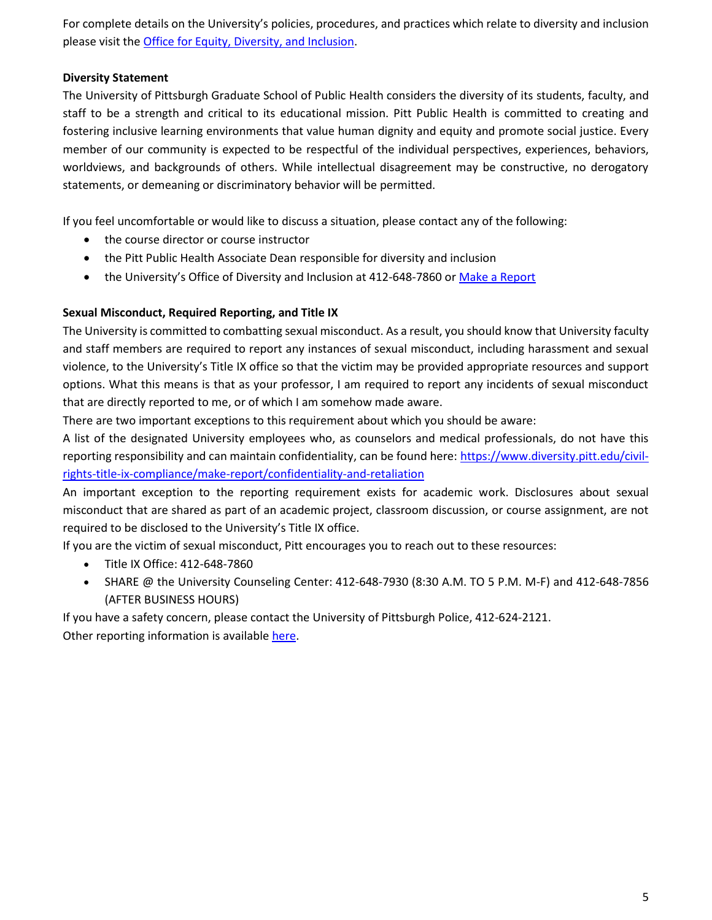For complete details on the University's policies, procedures, and practices which relate to diversity and inclusion please visit the [Office for Equity, Diversity, and Inclusion.](https://www.diversity.pitt.edu/)

#### **Diversity Statement**

The University of Pittsburgh Graduate School of Public Health considers the diversity of its students, faculty, and staff to be a strength and critical to its educational mission. Pitt Public Health is committed to creating and fostering inclusive learning environments that value human dignity and equity and promote social justice. Every member of our community is expected to be respectful of the individual perspectives, experiences, behaviors, worldviews, and backgrounds of others. While intellectual disagreement may be constructive, no derogatory statements, or demeaning or discriminatory behavior will be permitted.

If you feel uncomfortable or would like to discuss a situation, please contact any of the following:

- the course director or course instructor
- the Pitt Public Health Associate Dean responsible for diversity and inclusion
- the University's Office of Diversity and Inclusion at 412-648-7860 or [Make a Report](https://app.convercent.com/en-US/LandingPage/2d6327d5-9fec-ea11-a974-000d3ab9f296?_=1612800567898%20)

#### **Sexual Misconduct, Required Reporting, and Title IX**

The University is committed to combatting sexual misconduct. As a result, you should know that University faculty and staff members are required to report any instances of sexual misconduct, including harassment and sexual violence, to the University's Title IX office so that the victim may be provided appropriate resources and support options. What this means is that as your professor, I am required to report any incidents of sexual misconduct that are directly reported to me, or of which I am somehow made aware.

There are two important exceptions to this requirement about which you should be aware:

A list of the designated University employees who, as counselors and medical professionals, do not have this reporting responsibility and can maintain confidentiality, can be found here: [https://www.diversity.pitt.edu/civil](https://www.diversity.pitt.edu/civil-rights-title-ix-compliance/make-report/confidentiality-and-retaliation)[rights-title-ix-compliance/make-report/confidentiality-and-retaliation](https://www.diversity.pitt.edu/civil-rights-title-ix-compliance/make-report/confidentiality-and-retaliation)

An important exception to the reporting requirement exists for academic work. Disclosures about sexual misconduct that are shared as part of an academic project, classroom discussion, or course assignment, are not required to be disclosed to the University's Title IX office.

If you are the victim of sexual misconduct, Pitt encourages you to reach out to these resources:

- Title IX Office: 412-648-7860
- SHARE @ the University Counseling Center: 412-648-7930 (8:30 A.M. TO 5 P.M. M-F) and 412-648-7856 (AFTER BUSINESS HOURS)

If you have a safety concern, please contact the University of Pittsburgh Police, 412-624-2121. Other reporting information is available [here.](https://www.diversity.pitt.edu/civil-rights-title-ix-compliance/make-report)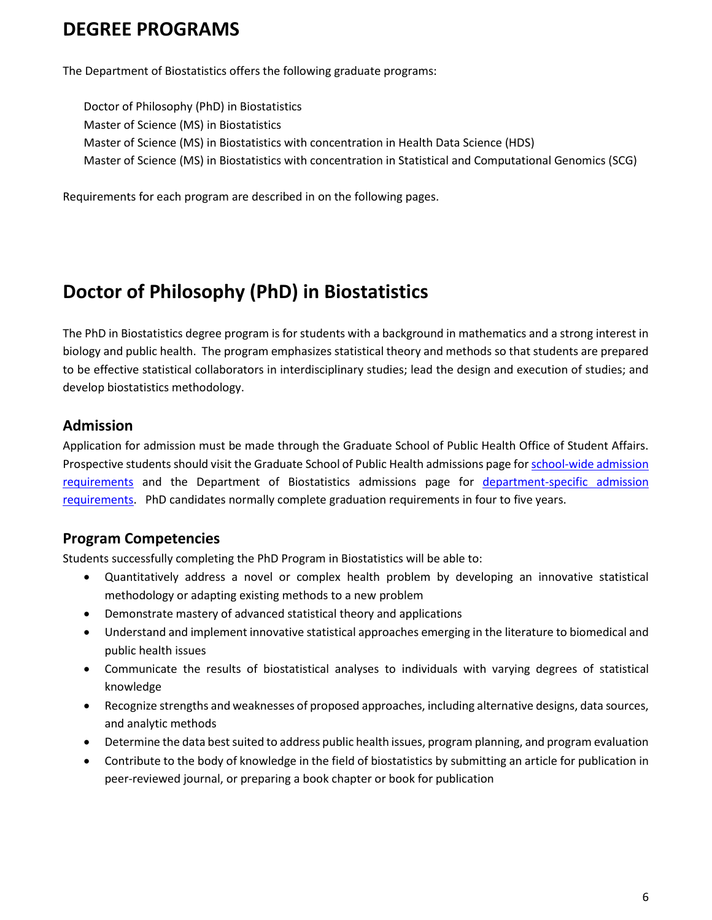# **DEGREE PROGRAMS**

The Department of Biostatistics offers the following graduate programs:

Doctor of Philosophy (PhD) in Biostatistics Master of Science (MS) in Biostatistics Master of Science (MS) in Biostatistics with concentration in Health Data Science (HDS) Master of Science (MS) in Biostatistics with concentration in Statistical and Computational Genomics (SCG)

Requirements for each program are described in on the following pages.

# **Doctor of Philosophy (PhD) in Biostatistics**

The PhD in Biostatistics degree program is for students with a background in mathematics and a strong interest in biology and public health. The program emphasizes statistical theory and methods so that students are prepared to be effective statistical collaborators in interdisciplinary studies; lead the design and execution of studies; and develop biostatistics methodology.

# **Admission**

Application for admission must be made through the Graduate School of Public Health Office of Student Affairs. Prospective students should visit the Graduate School of Public Health admissions page fo[r school-wide admission](https://www.publichealth.pitt.edu/home/prospective-students/admissions/how-to-apply/requirements)  [requirements](https://www.publichealth.pitt.edu/home/prospective-students/admissions/how-to-apply/requirements) and the Department of Biostatistics admissions page for [department-specific admission](https://www.publichealth.pitt.edu/biostatistics/prospective-students/admissions)  [requirements.](https://www.publichealth.pitt.edu/biostatistics/prospective-students/admissions) PhD candidates normally complete graduation requirements in four to five years.

# **Program Competencies**

Students successfully completing the PhD Program in Biostatistics will be able to:

- Quantitatively address a novel or complex health problem by developing an innovative statistical methodology or adapting existing methods to a new problem
- Demonstrate mastery of advanced statistical theory and applications
- Understand and implement innovative statistical approaches emerging in the literature to biomedical and public health issues
- Communicate the results of biostatistical analyses to individuals with varying degrees of statistical knowledge
- Recognize strengths and weaknesses of proposed approaches, including alternative designs, data sources, and analytic methods
- Determine the data best suited to address public health issues, program planning, and program evaluation
- Contribute to the body of knowledge in the field of biostatistics by submitting an article for publication in peer-reviewed journal, or preparing a book chapter or book for publication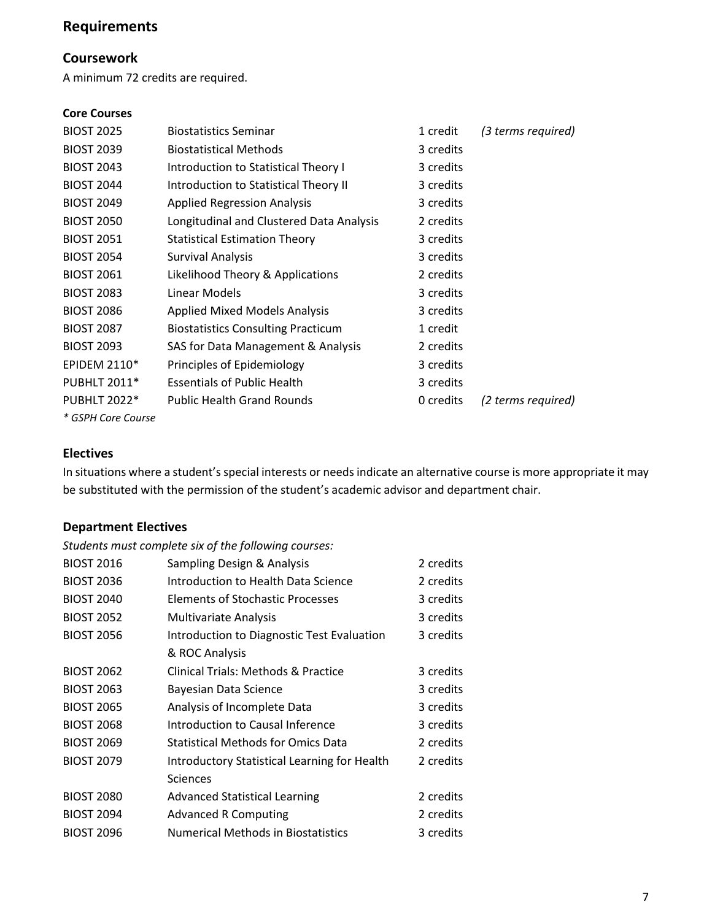# **Requirements**

# **Coursework**

A minimum 72 credits are required.

#### **Core Courses**

| <b>BIOST 2025</b>   | <b>Biostatistics Seminar</b>              | 1 credit  | (3 terms required) |
|---------------------|-------------------------------------------|-----------|--------------------|
| <b>BIOST 2039</b>   | <b>Biostatistical Methods</b>             | 3 credits |                    |
| <b>BIOST 2043</b>   | Introduction to Statistical Theory I      | 3 credits |                    |
| <b>BIOST 2044</b>   | Introduction to Statistical Theory II     | 3 credits |                    |
| <b>BIOST 2049</b>   | <b>Applied Regression Analysis</b>        | 3 credits |                    |
| <b>BIOST 2050</b>   | Longitudinal and Clustered Data Analysis  | 2 credits |                    |
| <b>BIOST 2051</b>   | <b>Statistical Estimation Theory</b>      | 3 credits |                    |
| <b>BIOST 2054</b>   | <b>Survival Analysis</b>                  | 3 credits |                    |
| <b>BIOST 2061</b>   | Likelihood Theory & Applications          | 2 credits |                    |
| <b>BIOST 2083</b>   | Linear Models                             | 3 credits |                    |
| <b>BIOST 2086</b>   | <b>Applied Mixed Models Analysis</b>      | 3 credits |                    |
| <b>BIOST 2087</b>   | <b>Biostatistics Consulting Practicum</b> | 1 credit  |                    |
| <b>BIOST 2093</b>   | SAS for Data Management & Analysis        | 2 credits |                    |
| <b>EPIDEM 2110*</b> | Principles of Epidemiology                | 3 credits |                    |
| <b>PUBHLT 2011*</b> | <b>Essentials of Public Health</b>        | 3 credits |                    |
| <b>PUBHLT 2022*</b> | <b>Public Health Grand Rounds</b>         | 0 credits | (2 terms required) |
| * GSPH Core Course  |                                           |           |                    |

#### **Electives**

In situations where a student's special interests or needs indicate an alternative course is more appropriate it may be substituted with the permission of the student's academic advisor and department chair.

# **Department Electives**

*Students must complete six of the following courses:* 

| <b>BIOST 2016</b> | Sampling Design & Analysis                   | 2 credits |
|-------------------|----------------------------------------------|-----------|
| <b>BIOST 2036</b> | Introduction to Health Data Science          | 2 credits |
| <b>BIOST 2040</b> | <b>Elements of Stochastic Processes</b>      | 3 credits |
| <b>BIOST 2052</b> | <b>Multivariate Analysis</b>                 | 3 credits |
| <b>BIOST 2056</b> | Introduction to Diagnostic Test Evaluation   | 3 credits |
|                   | & ROC Analysis                               |           |
| <b>BIOST 2062</b> | Clinical Trials: Methods & Practice          | 3 credits |
| <b>BIOST 2063</b> | Bayesian Data Science                        | 3 credits |
| <b>BIOST 2065</b> | Analysis of Incomplete Data                  | 3 credits |
| <b>BIOST 2068</b> | Introduction to Causal Inference             | 3 credits |
| <b>BIOST 2069</b> | <b>Statistical Methods for Omics Data</b>    | 2 credits |
| <b>BIOST 2079</b> | Introductory Statistical Learning for Health | 2 credits |
|                   | Sciences                                     |           |
| <b>BIOST 2080</b> | <b>Advanced Statistical Learning</b>         | 2 credits |
| <b>BIOST 2094</b> | <b>Advanced R Computing</b>                  | 2 credits |
| <b>BIOST 2096</b> | <b>Numerical Methods in Biostatistics</b>    | 3 credits |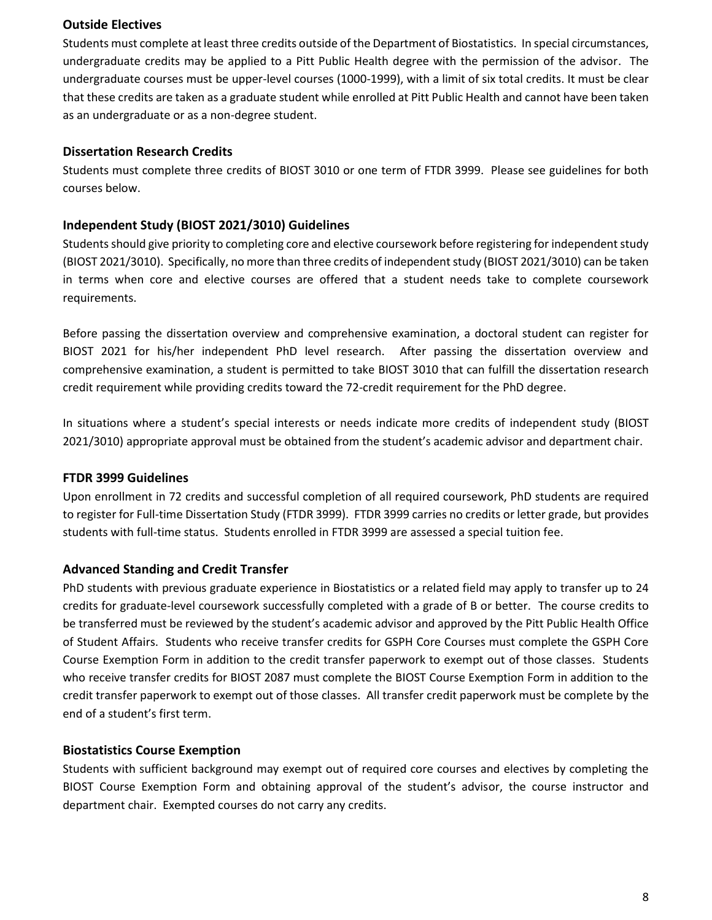#### **Outside Electives**

Students must complete at least three credits outside of the Department of Biostatistics. In special circumstances, undergraduate credits may be applied to a Pitt Public Health degree with the permission of the advisor. The undergraduate courses must be upper-level courses (1000-1999), with a limit of six total credits. It must be clear that these credits are taken as a graduate student while enrolled at Pitt Public Health and cannot have been taken as an undergraduate or as a non-degree student.

#### **Dissertation Research Credits**

Students must complete three credits of BIOST 3010 or one term of FTDR 3999. Please see guidelines for both courses below.

# **Independent Study (BIOST 2021/3010) Guidelines**

Students should give priority to completing core and elective coursework before registering for independent study (BIOST 2021/3010). Specifically, no more than three credits of independent study (BIOST 2021/3010) can be taken in terms when core and elective courses are offered that a student needs take to complete coursework requirements.

Before passing the dissertation overview and comprehensive examination, a doctoral student can register for BIOST 2021 for his/her independent PhD level research. After passing the dissertation overview and comprehensive examination, a student is permitted to take BIOST 3010 that can fulfill the dissertation research credit requirement while providing credits toward the 72-credit requirement for the PhD degree.

In situations where a student's special interests or needs indicate more credits of independent study (BIOST 2021/3010) appropriate approval must be obtained from the student's academic advisor and department chair.

#### **FTDR 3999 Guidelines**

Upon enrollment in 72 credits and successful completion of all required coursework, PhD students are required to register for Full-time Dissertation Study (FTDR 3999). FTDR 3999 carries no credits or letter grade, but provides students with full-time status. Students enrolled in FTDR 3999 are assessed a special tuition fee.

# **Advanced Standing and Credit Transfer**

PhD students with previous graduate experience in Biostatistics or a related field may apply to transfer up to 24 credits for graduate-level coursework successfully completed with a grade of B or better. The course credits to be transferred must be reviewed by the student's academic advisor and approved by the Pitt Public Health Office of Student Affairs. Students who receive transfer credits for GSPH Core Courses must complete the GSPH Core Course Exemption Form in addition to the credit transfer paperwork to exempt out of those classes. Students who receive transfer credits for BIOST 2087 must complete the BIOST Course Exemption Form in addition to the credit transfer paperwork to exempt out of those classes. All transfer credit paperwork must be complete by the end of a student's first term.

#### **Biostatistics Course Exemption**

Students with sufficient background may exempt out of required core courses and electives by completing the BIOST Course Exemption Form and obtaining approval of the student's advisor, the course instructor and department chair. Exempted courses do not carry any credits.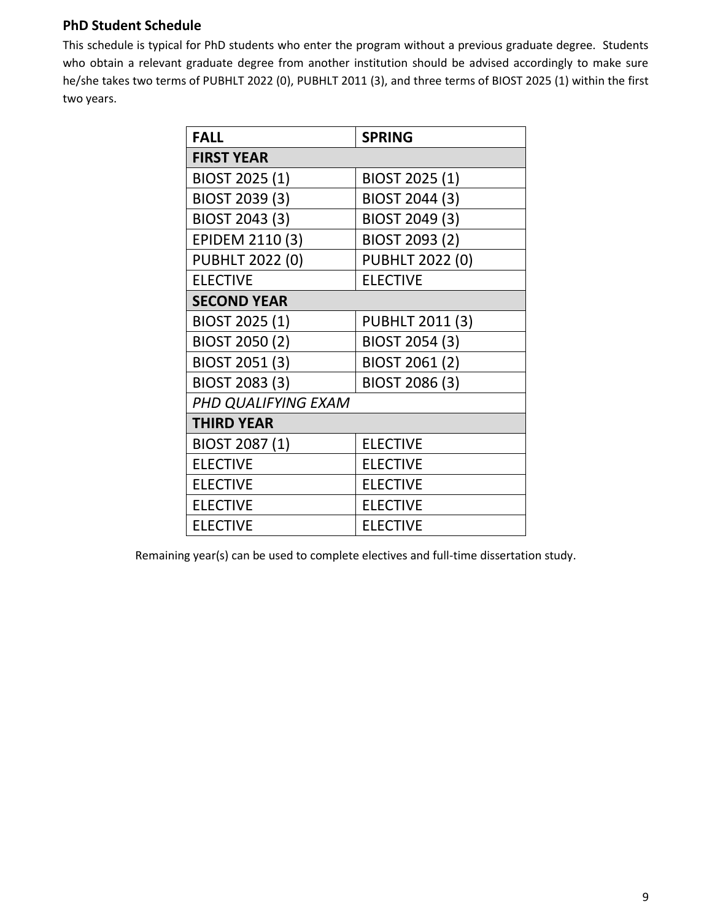# **PhD Student Schedule**

This schedule is typical for PhD students who enter the program without a previous graduate degree. Students who obtain a relevant graduate degree from another institution should be advised accordingly to make sure he/she takes two terms of PUBHLT 2022 (0), PUBHLT 2011 (3), and three terms of BIOST 2025 (1) within the first two years.

| <b>FALL</b>            | <b>SPRING</b>          |
|------------------------|------------------------|
| <b>FIRST YEAR</b>      |                        |
| BIOST 2025 (1)         | BIOST 2025 (1)         |
| BIOST 2039 (3)         | BIOST 2044 (3)         |
| BIOST 2043 (3)         | BIOST 2049 (3)         |
| EPIDEM 2110 (3)        | BIOST 2093 (2)         |
| <b>PUBHLT 2022 (0)</b> | <b>PUBHLT 2022 (0)</b> |
| <b>ELECTIVE</b>        | <b>ELECTIVE</b>        |
| <b>SECOND YEAR</b>     |                        |
| BIOST 2025 (1)         | <b>PUBHLT 2011 (3)</b> |
| BIOST 2050 (2)         | BIOST 2054 (3)         |
| BIOST 2051 (3)         | BIOST 2061 (2)         |
| BIOST 2083 (3)         | BIOST 2086 (3)         |
| PHD QUALIFYING EXAM    |                        |
| <b>THIRD YEAR</b>      |                        |
| BIOST 2087 (1)         | <b>ELECTIVE</b>        |
| <b>ELECTIVE</b>        | <b>ELECTIVE</b>        |
| <b>ELECTIVE</b>        | <b>ELECTIVE</b>        |
| <b>ELECTIVE</b>        | <b>ELECTIVE</b>        |
| <b>ELECTIVE</b>        | <b>ELECTIVE</b>        |

Remaining year(s) can be used to complete electives and full-time dissertation study.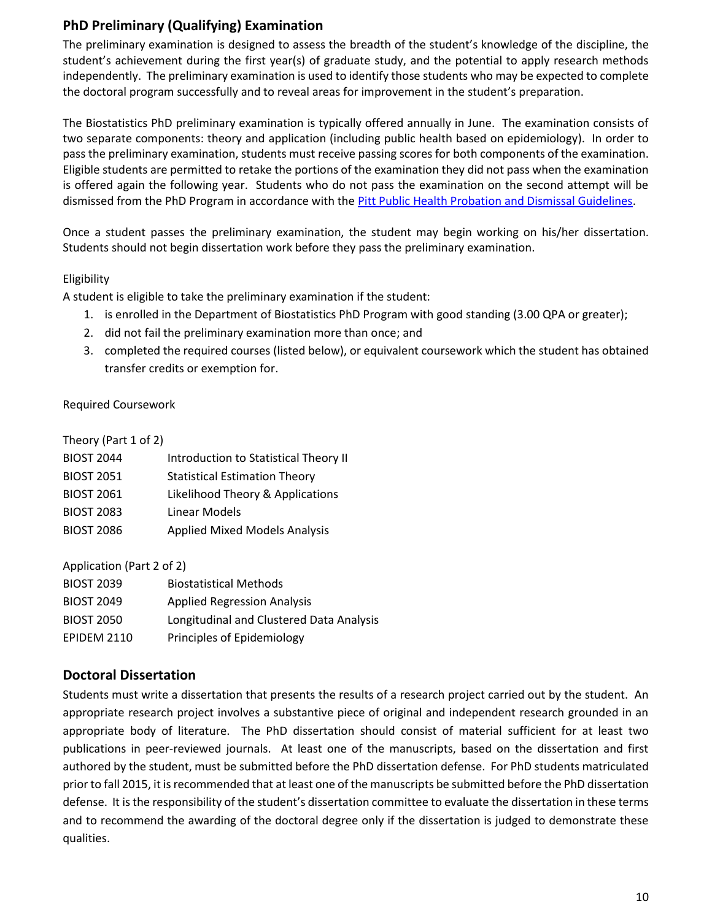# **PhD Preliminary (Qualifying) Examination**

The preliminary examination is designed to assess the breadth of the student's knowledge of the discipline, the student's achievement during the first year(s) of graduate study, and the potential to apply research methods independently. The preliminary examination is used to identify those students who may be expected to complete the doctoral program successfully and to reveal areas for improvement in the student's preparation.

The Biostatistics PhD preliminary examination is typically offered annually in June. The examination consists of two separate components: theory and application (including public health based on epidemiology). In order to pass the preliminary examination, students must receive passing scores for both components of the examination. Eligible students are permitted to retake the portions of the examination they did not pass when the examination is offered again the following year. Students who do not pass the examination on the second attempt will be dismissed from the PhD Program in accordance with th[e Pitt Public Health Probation and Dismissal Guidelines.](https://publichealth.pitt.edu/home/academics/academic-handbook-degree-requirements/detailed-policies-and-references)

Once a student passes the preliminary examination, the student may begin working on his/her dissertation. Students should not begin dissertation work before they pass the preliminary examination.

#### Eligibility

A student is eligible to take the preliminary examination if the student:

- 1. is enrolled in the Department of Biostatistics PhD Program with good standing (3.00 QPA or greater);
- 2. did not fail the preliminary examination more than once; and
- 3. completed the required courses (listed below), or equivalent coursework which the student has obtained transfer credits or exemption for.

#### Required Coursework

Theory (Part 1 of 2)

| <b>BIOST 2044</b> | Introduction to Statistical Theory II |
|-------------------|---------------------------------------|
| <b>BIOST 2051</b> | <b>Statistical Estimation Theory</b>  |
| <b>BIOST 2061</b> | Likelihood Theory & Applications      |
| <b>BIOST 2083</b> | Linear Models                         |
| <b>BIOST 2086</b> | <b>Applied Mixed Models Analysis</b>  |
|                   |                                       |

Application (Part 2 of 2)

| <b>BIOST 2039</b>  | <b>Biostatistical Methods</b>            |
|--------------------|------------------------------------------|
| <b>BIOST 2049</b>  | <b>Applied Regression Analysis</b>       |
| <b>BIOST 2050</b>  | Longitudinal and Clustered Data Analysis |
| <b>EPIDEM 2110</b> | Principles of Epidemiology               |

# **Doctoral Dissertation**

Students must write a dissertation that presents the results of a research project carried out by the student. An appropriate research project involves a substantive piece of original and independent research grounded in an appropriate body of literature. The PhD dissertation should consist of material sufficient for at least two publications in peer-reviewed journals. At least one of the manuscripts, based on the dissertation and first authored by the student, must be submitted before the PhD dissertation defense. For PhD students matriculated prior to fall 2015, it is recommended that at least one of the manuscripts be submitted before the PhD dissertation defense. It is the responsibility of the student's dissertation committee to evaluate the dissertation in these terms and to recommend the awarding of the doctoral degree only if the dissertation is judged to demonstrate these qualities.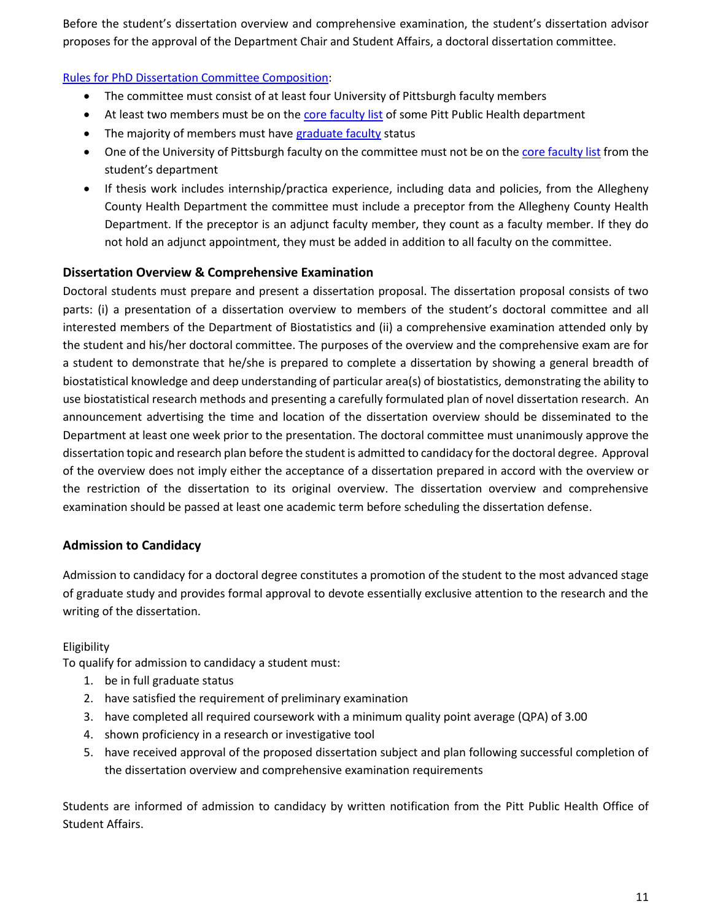Before the student's dissertation overview and comprehensive examination, the student's dissertation advisor proposes for the approval of the Department Chair and Student Affairs, a doctoral dissertation committee.

#### [Rules for PhD Dissertation Committee Composition:](https://publichealth.pitt.edu/home/academics/academic-handbook-degree-requirements/detailed-policies-and-references)

- The committee must consist of at least four University of Pittsburgh faculty members
- At least two members must be on the [core faculty list](http://www.publichealth.pitt.edu/home/academics/academic-handbook-degree-requirements/graduation-information/core-faculty) of some Pitt Public Health department
- The majority of members must hav[e graduate faculty](https://ir.pitt.edu/graduate-faculty-roster/) status
- One of the University of Pittsburgh faculty on the committee must not be on the [core faculty list](http://www.publichealth.pitt.edu/home/academics/academic-handbook-degree-requirements/graduation-information/core-faculty) from the student's department
- If thesis work includes internship/practica experience, including data and policies, from the Allegheny County Health Department the committee must include a preceptor from the Allegheny County Health Department. If the preceptor is an adjunct faculty member, they count as a faculty member. If they do not hold an adjunct appointment, they must be added in addition to all faculty on the committee.

## **Dissertation Overview & Comprehensive Examination**

Doctoral students must prepare and present a dissertation proposal. The dissertation proposal consists of two parts: (i) a presentation of a dissertation overview to members of the student's doctoral committee and all interested members of the Department of Biostatistics and (ii) a comprehensive examination attended only by the student and his/her doctoral committee. The purposes of the overview and the comprehensive exam are for a student to demonstrate that he/she is prepared to complete a dissertation by showing a general breadth of biostatistical knowledge and deep understanding of particular area(s) of biostatistics, demonstrating the ability to use biostatistical research methods and presenting a carefully formulated plan of novel dissertation research. An announcement advertising the time and location of the dissertation overview should be disseminated to the Department at least one week prior to the presentation. The doctoral committee must unanimously approve the dissertation topic and research plan before the student is admitted to candidacy for the doctoral degree. Approval of the overview does not imply either the acceptance of a dissertation prepared in accord with the overview or the restriction of the dissertation to its original overview. The dissertation overview and comprehensive examination should be passed at least one academic term before scheduling the dissertation defense.

# **Admission to Candidacy**

Admission to candidacy for a doctoral degree constitutes a promotion of the student to the most advanced stage of graduate study and provides formal approval to devote essentially exclusive attention to the research and the writing of the dissertation.

#### Eligibility

To qualify for admission to candidacy a student must:

- 1. be in full graduate status
- 2. have satisfied the requirement of preliminary examination
- 3. have completed all required coursework with a minimum quality point average (QPA) of 3.00
- 4. shown proficiency in a research or investigative tool
- 5. have received approval of the proposed dissertation subject and plan following successful completion of the dissertation overview and comprehensive examination requirements

Students are informed of admission to candidacy by written notification from the Pitt Public Health Office of Student Affairs.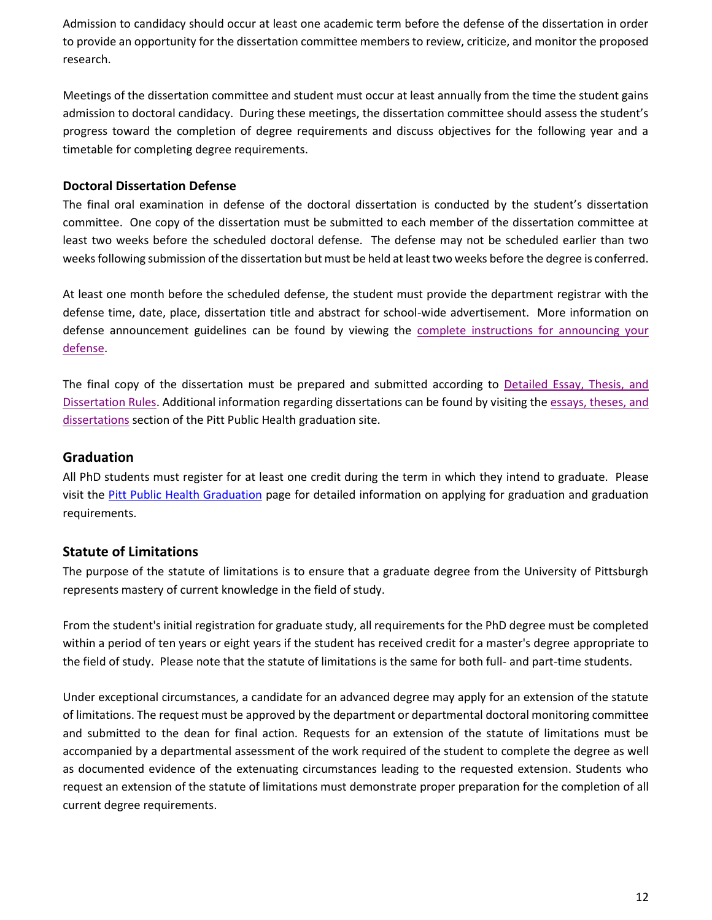Admission to candidacy should occur at least one academic term before the defense of the dissertation in order to provide an opportunity for the dissertation committee members to review, criticize, and monitor the proposed research.

Meetings of the dissertation committee and student must occur at least annually from the time the student gains admission to doctoral candidacy. During these meetings, the dissertation committee should assess the student's progress toward the completion of degree requirements and discuss objectives for the following year and a timetable for completing degree requirements.

#### **Doctoral Dissertation Defense**

The final oral examination in defense of the doctoral dissertation is conducted by the student's dissertation committee. One copy of the dissertation must be submitted to each member of the dissertation committee at least two weeks before the scheduled doctoral defense. The defense may not be scheduled earlier than two weeks following submission of the dissertation but must be held at least two weeks before the degree is conferred.

At least one month before the scheduled defense, the student must provide the department registrar with the defense time, date, place, dissertation title and abstract for school-wide advertisement. More information on defense announcement guidelines can be found by viewing the [complete instructions for announcing your](https://www.publichealth.pitt.edu/graduation#defense)  [defense.](https://www.publichealth.pitt.edu/graduation#defense)

The final copy of the dissertation must be prepared and submitted according to [Detailed Essay, Thesis, and](http://publichealth.pitt.edu/home/academics/academic-handbook-degree-requirements/detailed-policies-and-references)  [Dissertation Rules.](http://publichealth.pitt.edu/home/academics/academic-handbook-degree-requirements/detailed-policies-and-references) Additional information regarding dissertations can be found by visiting the [essays, theses, and](https://www.publichealth.pitt.edu/graduation#formatting)  [dissertations](https://www.publichealth.pitt.edu/graduation#formatting) section of the Pitt Public Health graduation site.

#### **Graduation**

All PhD students must register for at least one credit during the term in which they intend to graduate. Please visit the [Pitt Public Health Graduation](https://www.publichealth.pitt.edu/graduation) page for detailed information on applying for graduation and graduation requirements.

# **Statute of Limitations**

The purpose of the statute of limitations is to ensure that a graduate degree from the University of Pittsburgh represents mastery of current knowledge in the field of study.

From the student's initial registration for graduate study, all requirements for the PhD degree must be completed within a period of ten years or eight years if the student has received credit for a master's degree appropriate to the field of study. Please note that the statute of limitations is the same for both full- and part-time students.

Under exceptional circumstances, a candidate for an advanced degree may apply for an extension of the statute of limitations. The request must be approved by the department or departmental doctoral monitoring committee and submitted to the dean for final action. Requests for an extension of the statute of limitations must be accompanied by a departmental assessment of the work required of the student to complete the degree as well as documented evidence of the extenuating circumstances leading to the requested extension. Students who request an extension of the statute of limitations must demonstrate proper preparation for the completion of all current degree requirements.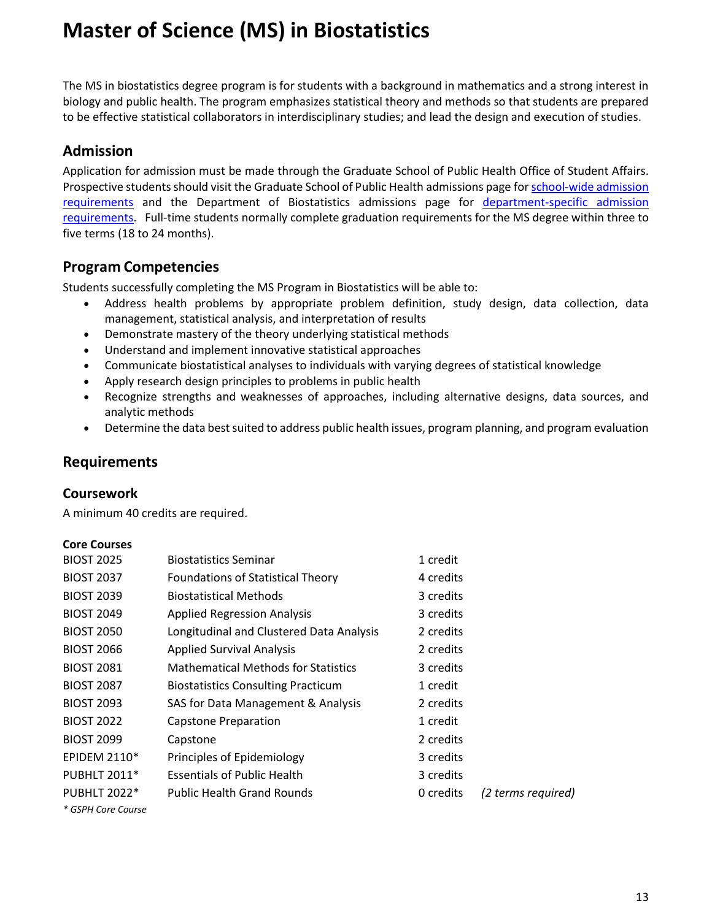# **Master of Science (MS) in Biostatistics**

The MS in biostatistics degree program is for students with a background in mathematics and a strong interest in biology and public health. The program emphasizes statistical theory and methods so that students are prepared to be effective statistical collaborators in interdisciplinary studies; and lead the design and execution of studies.

# **Admission**

Application for admission must be made through the Graduate School of Public Health Office of Student Affairs. Prospective students should visit the Graduate School of Public Health admissions page fo[r school-wide admission](https://www.publichealth.pitt.edu/home/prospective-students/admissions/how-to-apply/requirements)  [requirements](https://www.publichealth.pitt.edu/home/prospective-students/admissions/how-to-apply/requirements) and the Department of Biostatistics admissions page for [department-specific admission](https://www.publichealth.pitt.edu/biostatistics/prospective-students/admissions)  [requirements.](https://www.publichealth.pitt.edu/biostatistics/prospective-students/admissions) Full-time students normally complete graduation requirements for the MS degree within three to five terms (18 to 24 months).

# **Program Competencies**

Students successfully completing the MS Program in Biostatistics will be able to:

- Address health problems by appropriate problem definition, study design, data collection, data management, statistical analysis, and interpretation of results
- Demonstrate mastery of the theory underlying statistical methods
- Understand and implement innovative statistical approaches
- Communicate biostatistical analyses to individuals with varying degrees of statistical knowledge
- Apply research design principles to problems in public health
- Recognize strengths and weaknesses of approaches, including alternative designs, data sources, and analytic methods
- Determine the data best suited to address public health issues, program planning, and program evaluation

# **Requirements**

# **Coursework**

A minimum 40 credits are required.

#### **Core Courses**

| <b>BIOST 2025</b>   | <b>Biostatistics Seminar</b>               | 1 credit  |                    |
|---------------------|--------------------------------------------|-----------|--------------------|
| <b>BIOST 2037</b>   | <b>Foundations of Statistical Theory</b>   | 4 credits |                    |
| <b>BIOST 2039</b>   | <b>Biostatistical Methods</b>              | 3 credits |                    |
| <b>BIOST 2049</b>   | <b>Applied Regression Analysis</b>         | 3 credits |                    |
| <b>BIOST 2050</b>   | Longitudinal and Clustered Data Analysis   | 2 credits |                    |
| <b>BIOST 2066</b>   | <b>Applied Survival Analysis</b>           | 2 credits |                    |
| <b>BIOST 2081</b>   | <b>Mathematical Methods for Statistics</b> | 3 credits |                    |
| <b>BIOST 2087</b>   | <b>Biostatistics Consulting Practicum</b>  | 1 credit  |                    |
| <b>BIOST 2093</b>   | SAS for Data Management & Analysis         | 2 credits |                    |
| <b>BIOST 2022</b>   | Capstone Preparation                       | 1 credit  |                    |
| <b>BIOST 2099</b>   | Capstone                                   | 2 credits |                    |
| <b>EPIDEM 2110*</b> | Principles of Epidemiology                 | 3 credits |                    |
| <b>PUBHLT 2011*</b> | <b>Essentials of Public Health</b>         | 3 credits |                    |
| <b>PUBHLT 2022*</b> | <b>Public Health Grand Rounds</b>          | 0 credits | (2 terms required) |
| * GSPH Core Course  |                                            |           |                    |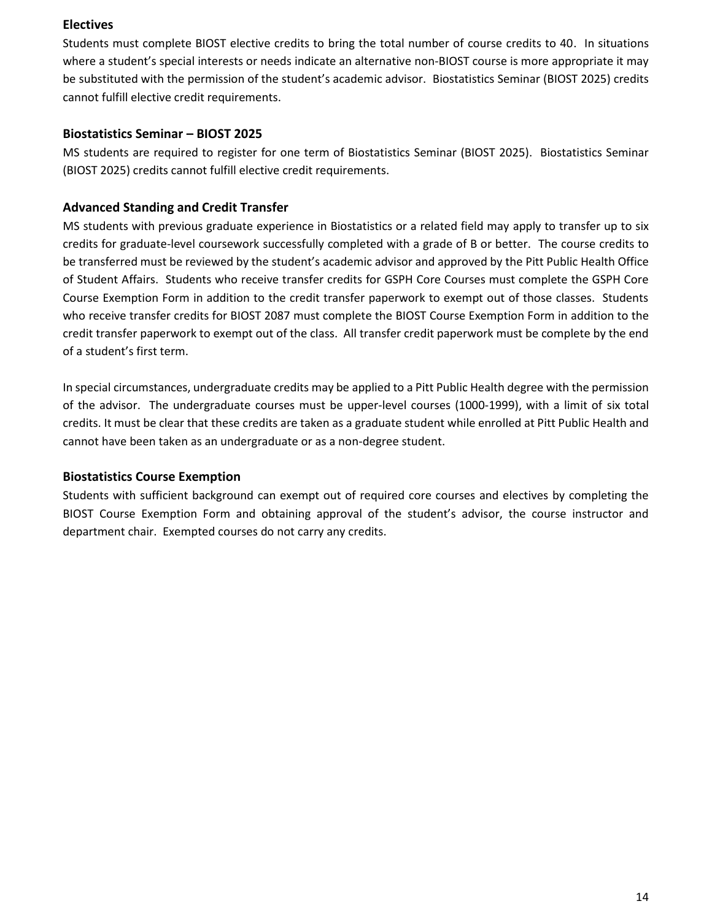#### **Electives**

Students must complete BIOST elective credits to bring the total number of course credits to 40. In situations where a student's special interests or needs indicate an alternative non-BIOST course is more appropriate it may be substituted with the permission of the student's academic advisor. Biostatistics Seminar (BIOST 2025) credits cannot fulfill elective credit requirements.

### **Biostatistics Seminar – BIOST 2025**

MS students are required to register for one term of Biostatistics Seminar (BIOST 2025). Biostatistics Seminar (BIOST 2025) credits cannot fulfill elective credit requirements.

# **Advanced Standing and Credit Transfer**

MS students with previous graduate experience in Biostatistics or a related field may apply to transfer up to six credits for graduate-level coursework successfully completed with a grade of B or better. The course credits to be transferred must be reviewed by the student's academic advisor and approved by the Pitt Public Health Office of Student Affairs. Students who receive transfer credits for GSPH Core Courses must complete the GSPH Core Course Exemption Form in addition to the credit transfer paperwork to exempt out of those classes. Students who receive transfer credits for BIOST 2087 must complete the BIOST Course Exemption Form in addition to the credit transfer paperwork to exempt out of the class. All transfer credit paperwork must be complete by the end of a student's first term.

In special circumstances, undergraduate credits may be applied to a Pitt Public Health degree with the permission of the advisor. The undergraduate courses must be upper-level courses (1000-1999), with a limit of six total credits. It must be clear that these credits are taken as a graduate student while enrolled at Pitt Public Health and cannot have been taken as an undergraduate or as a non-degree student.

#### **Biostatistics Course Exemption**

Students with sufficient background can exempt out of required core courses and electives by completing the BIOST Course Exemption Form and obtaining approval of the student's advisor, the course instructor and department chair. Exempted courses do not carry any credits.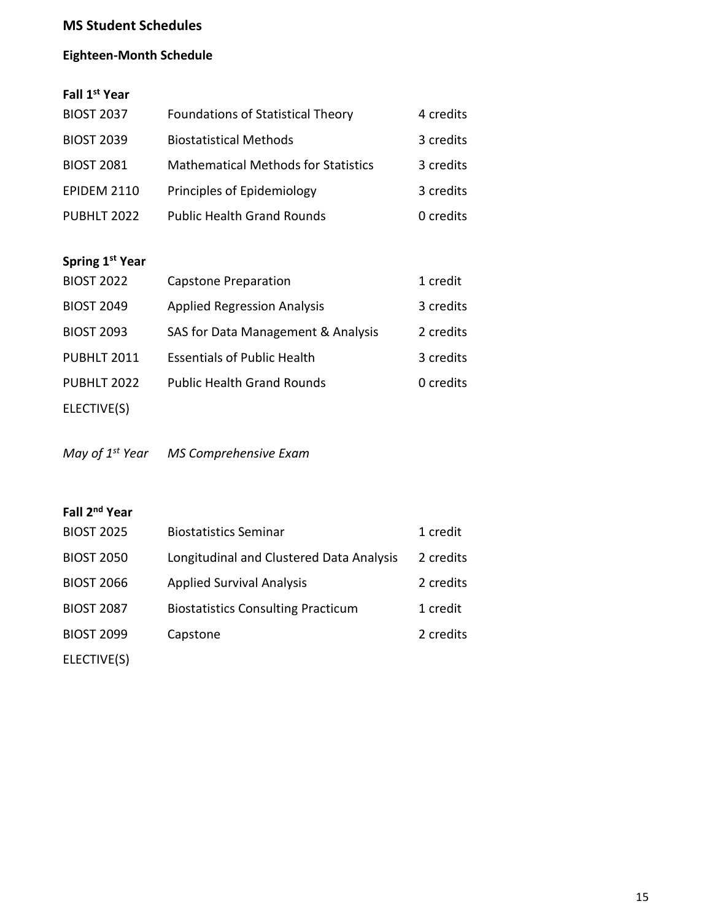# **MS Student Schedules**

# **Eighteen-Month Schedule**

# **Fall 1st Year**

| <b>BIOST 2037</b>  | <b>Foundations of Statistical Theory</b>   | 4 credits |
|--------------------|--------------------------------------------|-----------|
| <b>BIOST 2039</b>  | <b>Biostatistical Methods</b>              | 3 credits |
| <b>BIOST 2081</b>  | <b>Mathematical Methods for Statistics</b> | 3 credits |
| <b>EPIDEM 2110</b> | Principles of Epidemiology                 | 3 credits |
| PUBHLT 2022        | <b>Public Health Grand Rounds</b>          | 0 credits |

# **Spring 1st Year**

| <b>BIOST 2022</b> | <b>Capstone Preparation</b>        | 1 credit  |
|-------------------|------------------------------------|-----------|
| <b>BIOST 2049</b> | <b>Applied Regression Analysis</b> | 3 credits |
| <b>BIOST 2093</b> | SAS for Data Management & Analysis | 2 credits |
| PUBHLT 2011       | <b>Essentials of Public Health</b> | 3 credits |
| PUBHLT 2022       | <b>Public Health Grand Rounds</b>  | 0 credits |
| ELECTIVE(S)       |                                    |           |

*May of 1st Year MS Comprehensive Exam*

# **Fall 2nd Year**

| <b>BIOST 2025</b> | <b>Biostatistics Seminar</b>              | 1 credit  |
|-------------------|-------------------------------------------|-----------|
| <b>BIOST 2050</b> | Longitudinal and Clustered Data Analysis  | 2 credits |
| <b>BIOST 2066</b> | <b>Applied Survival Analysis</b>          | 2 credits |
| <b>BIOST 2087</b> | <b>Biostatistics Consulting Practicum</b> | 1 credit  |
| <b>BIOST 2099</b> | Capstone                                  | 2 credits |
| ELECTIVE(S)       |                                           |           |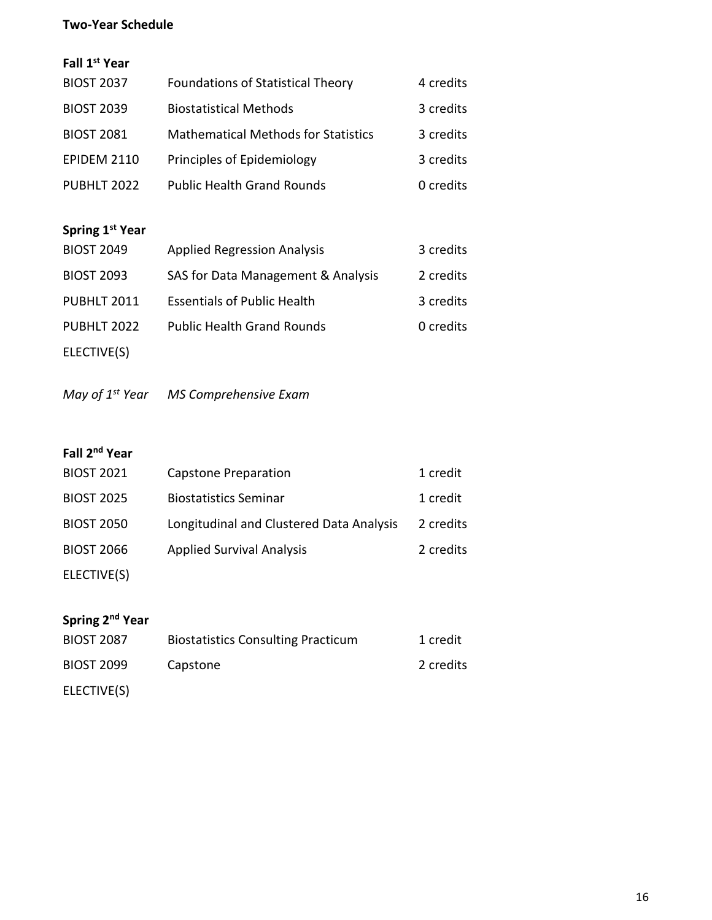# **Two-Year Schedule**

# **Fall 1st Year**

| <b>BIOST 2037</b>  | <b>Foundations of Statistical Theory</b>   | 4 credits |
|--------------------|--------------------------------------------|-----------|
| <b>BIOST 2039</b>  | <b>Biostatistical Methods</b>              | 3 credits |
| <b>BIOST 2081</b>  | <b>Mathematical Methods for Statistics</b> | 3 credits |
| <b>EPIDEM 2110</b> | Principles of Epidemiology                 | 3 credits |
| PUBHLT 2022        | <b>Public Health Grand Rounds</b>          | 0 credits |
|                    |                                            |           |

# **Spring 1st Year**

| <b>BIOST 2049</b>  | <b>Applied Regression Analysis</b> | 3 credits |
|--------------------|------------------------------------|-----------|
| <b>BIOST 2093</b>  | SAS for Data Management & Analysis | 2 credits |
| <b>PUBHLT 2011</b> | <b>Essentials of Public Health</b> | 3 credits |
| PUBHLT 2022        | <b>Public Health Grand Rounds</b>  | 0 credits |
| ELECTIVE(S)        |                                    |           |

*May of 1st Year MS Comprehensive Exam*

# **Fall 2nd Year**

| <b>BIOST 2021</b> | Capstone Preparation                     | 1 credit  |
|-------------------|------------------------------------------|-----------|
| <b>BIOST 2025</b> | <b>Biostatistics Seminar</b>             | 1 credit  |
| <b>BIOST 2050</b> | Longitudinal and Clustered Data Analysis | 2 credits |
| <b>BIOST 2066</b> | <b>Applied Survival Analysis</b>         | 2 credits |
| ELECTIVE(S)       |                                          |           |

# **Spring 2nd Year**

| <b>BIOST 2087</b> | <b>Biostatistics Consulting Practicum</b> | 1 credit  |
|-------------------|-------------------------------------------|-----------|
| <b>BIOST 2099</b> | Capstone                                  | 2 credits |
| ELECTIVE(S)       |                                           |           |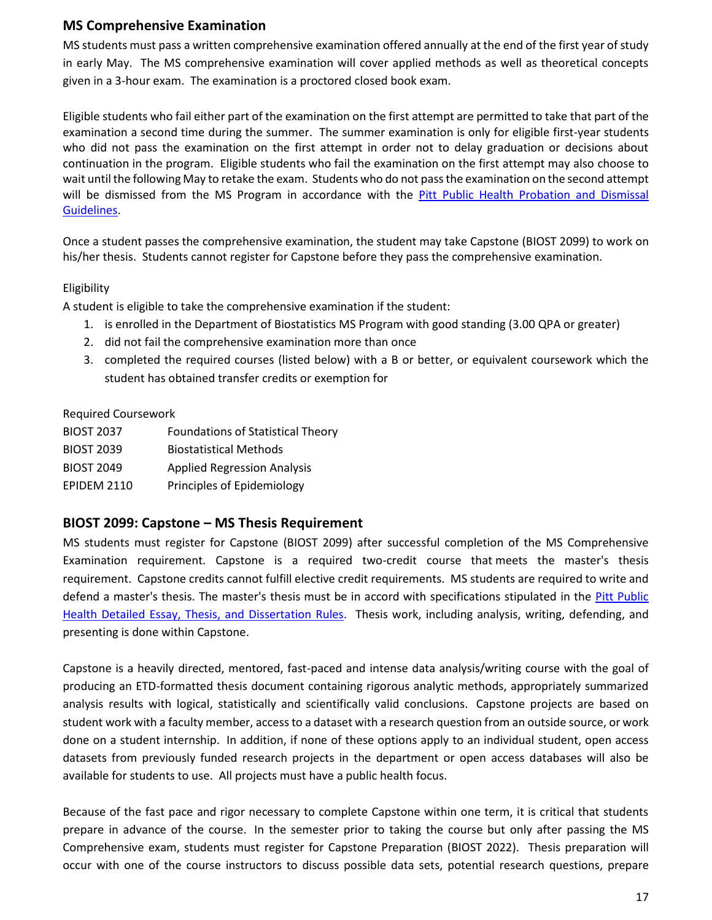# **MS Comprehensive Examination**

MS students must pass a written comprehensive examination offered annually at the end of the first year of study in early May. The MS comprehensive examination will cover applied methods as well as theoretical concepts given in a 3-hour exam. The examination is a proctored closed book exam.

Eligible students who fail either part of the examination on the first attempt are permitted to take that part of the examination a second time during the summer. The summer examination is only for eligible first-year students who did not pass the examination on the first attempt in order not to delay graduation or decisions about continuation in the program. Eligible students who fail the examination on the first attempt may also choose to wait until the following May to retake the exam. Students who do not pass the examination on the second attempt will be dismissed from the MS Program in accordance with the Pitt Public Health Probation and Dismissal [Guidelines.](http://publichealth.pitt.edu/home/academics/academic-handbook-degree-requirements/detailed-policies-and-references)

Once a student passes the comprehensive examination, the student may take Capstone (BIOST 2099) to work on his/her thesis. Students cannot register for Capstone before they pass the comprehensive examination.

#### Eligibility

A student is eligible to take the comprehensive examination if the student:

- 1. is enrolled in the Department of Biostatistics MS Program with good standing (3.00 QPA or greater)
- 2. did not fail the comprehensive examination more than once
- 3. completed the required courses (listed below) with a B or better, or equivalent coursework which the student has obtained transfer credits or exemption for

#### Required Coursework

| <b>BIOST 2037</b>  | <b>Foundations of Statistical Theory</b> |
|--------------------|------------------------------------------|
| <b>BIOST 2039</b>  | <b>Biostatistical Methods</b>            |
| <b>BIOST 2049</b>  | <b>Applied Regression Analysis</b>       |
| <b>EPIDEM 2110</b> | Principles of Epidemiology               |

#### **BIOST 2099: Capstone – MS Thesis Requirement**

MS students must register for Capstone (BIOST 2099) after successful completion of the MS Comprehensive Examination requirement. Capstone is a required two-credit course that meets the master's thesis requirement. Capstone credits cannot fulfill elective credit requirements. MS students are required to write and defend a master's thesis. The master's thesis must be in accord with specifications stipulated in the [Pitt Public](http://publichealth.pitt.edu/home/academics/academic-handbook-degree-requirements/detailed-policies-and-references)  Health Detailed [Essay, Thesis, and Dissertation Rules.](http://publichealth.pitt.edu/home/academics/academic-handbook-degree-requirements/detailed-policies-and-references) Thesis work, including analysis, writing, defending, and presenting is done within Capstone.

Capstone is a heavily directed, mentored, fast-paced and intense data analysis/writing course with the goal of producing an ETD-formatted thesis document containing rigorous analytic methods, appropriately summarized analysis results with logical, statistically and scientifically valid conclusions. Capstone projects are based on student work with a faculty member, access to a dataset with a research question from an outside source, or work done on a student internship. In addition, if none of these options apply to an individual student, open access datasets from previously funded research projects in the department or open access databases will also be available for students to use. All projects must have a public health focus.

Because of the fast pace and rigor necessary to complete Capstone within one term, it is critical that students prepare in advance of the course. In the semester prior to taking the course but only after passing the MS Comprehensive exam, students must register for Capstone Preparation (BIOST 2022). Thesis preparation will occur with one of the course instructors to discuss possible data sets, potential research questions, prepare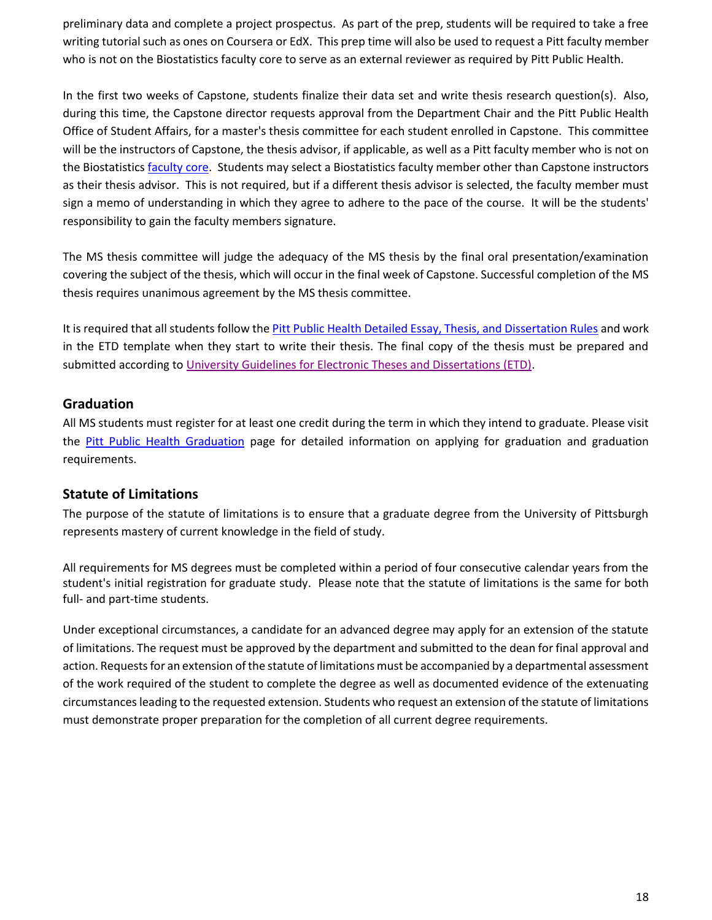preliminary data and complete a project prospectus. As part of the prep, students will be required to take a free writing tutorial such as ones on Coursera or EdX. This prep time will also be used to request a Pitt faculty member who is not on the Biostatistics faculty core to serve as an external reviewer as required by Pitt Public Health.

In the first two weeks of Capstone, students finalize their data set and write thesis research question(s). Also, during this time, the Capstone director requests approval from the Department Chair and the Pitt Public Health Office of Student Affairs, for a master's thesis committee for each student enrolled in Capstone. This committee will be the instructors of Capstone, the thesis advisor, if applicable, as well as a Pitt faculty member who is not on the Biostatistics [faculty core.](https://www.publichealth.pitt.edu/home/academics/academic-handbook-degree-requirements/graduation-information/core-faculty) Students may select a Biostatistics faculty member other than Capstone instructors as their thesis advisor. This is not required, but if a different thesis advisor is selected, the faculty member must sign a memo of understanding in which they agree to adhere to the pace of the course. It will be the students' responsibility to gain the faculty members signature.

The MS thesis committee will judge the adequacy of the MS thesis by the final oral presentation/examination covering the subject of the thesis, which will occur in the final week of Capstone. Successful completion of the MS thesis requires unanimous agreement by the MS thesis committee.

It is required that all students follow th[e Pitt Public Health Detailed Essay, Thesis, and Dissertation Rules](http://publichealth.pitt.edu/home/academics/academic-handbook-degree-requirements/detailed-policies-and-references) and work in the ETD template when they start to write their thesis. The final copy of the thesis must be prepared and submitted according to [University Guidelines for Electronic Theses and Dissertations \(ETD\).](https://etd.pitt.edu/)

## **Graduation**

All MS students must register for at least one credit during the term in which they intend to graduate. Please visit the [Pitt Public Health Graduation](https://www.publichealth.pitt.edu/graduation) page for detailed information on applying for graduation and graduation requirements.

# **Statute of Limitations**

The purpose of the statute of limitations is to ensure that a graduate degree from the University of Pittsburgh represents mastery of current knowledge in the field of study.

All requirements for MS degrees must be completed within a period of four consecutive calendar years from the student's initial registration for graduate study. Please note that the statute of limitations is the same for both full- and part-time students.

Under exceptional circumstances, a candidate for an advanced degree may apply for an extension of the statute of limitations. The request must be approved by the department and submitted to the dean for final approval and action. Requests for an extension of the statute of limitations must be accompanied by a departmental assessment of the work required of the student to complete the degree as well as documented evidence of the extenuating circumstances leading to the requested extension. Students who request an extension of the statute of limitations must demonstrate proper preparation for the completion of all current degree requirements.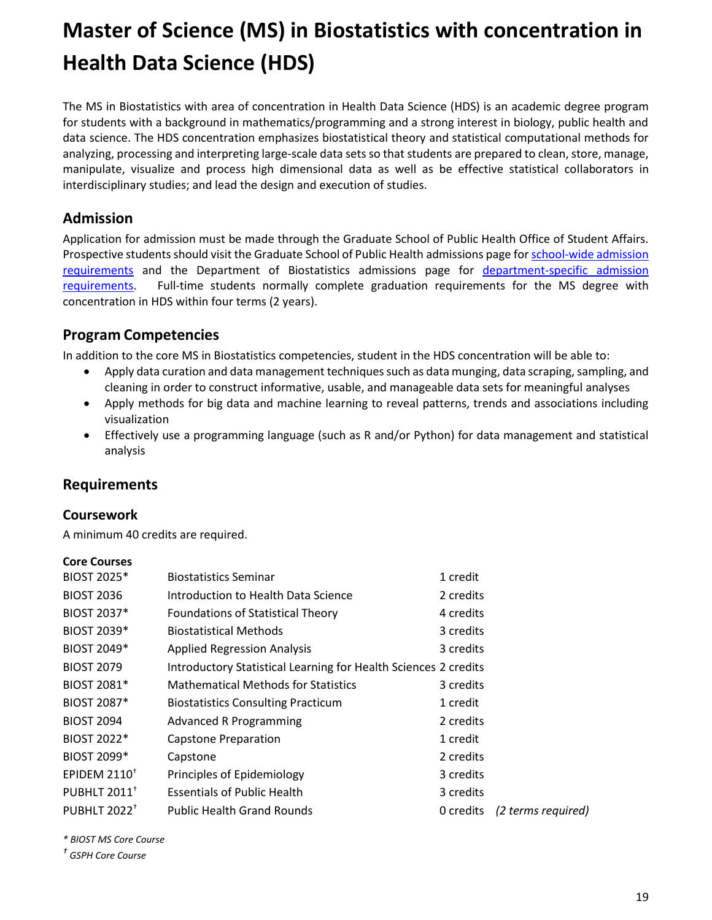# **Master of Science (MS) in Biostatistics with concentration in Health Data Science (HDS)**

The MS in Biostatistics with area of concentration in Health Data Science (HDS) is an academic degree program for students with a background in mathematics/programming and a strong interest in biology, public health and data science. The HDS concentration emphasizes biostatistical theory and statistical computational methods for analyzing, processing and interpreting large-scale data sets so that students are prepared to clean, store, manage, manipulate, visualize and process high dimensional data as well as be effective statistical collaborators in interdisciplinary studies; and lead the design and execution of studies.

# **Admission**

Application for admission must be made through the Graduate School of Public Health Office of Student Affairs. Prospective students should visit the Graduate School of Public Health admissions page for school-wide admission [requirements](https://www.publichealth.pitt.edu/home/prospective-students/admissions/how-to-apply/requirements) and the Department of Biostatistics admissions page for [department-specific admission](https://www.publichealth.pitt.edu/biostatistics/admissions-aid/admissions)  [requirements.](https://www.publichealth.pitt.edu/biostatistics/admissions-aid/admissions) Full-time students normally complete graduation requirements for the MS degree with concentration in HDS within four terms (2 years).

# **Program Competencies**

In addition to the core MS in Biostatistics competencies, student in the HDS concentration will be able to:

- Apply data curation and data management techniques such as data munging, data scraping, sampling, and cleaning in order to construct informative, usable, and manageable data sets for meaningful analyses
- Apply methods for big data and machine learning to reveal patterns, trends and associations including visualization
- Effectively use a programming language (such as R and/or Python) for data management and statistical analysis

# **Requirements**

#### **Coursework**

A minimum 40 credits are required.

#### **Core Courses**

| <b>BIOST 2025*</b>             | <b>Biostatistics Seminar</b>                                    | 1 credit  |                    |
|--------------------------------|-----------------------------------------------------------------|-----------|--------------------|
| <b>BIOST 2036</b>              | Introduction to Health Data Science                             | 2 credits |                    |
| <b>BIOST 2037*</b>             | <b>Foundations of Statistical Theory</b>                        | 4 credits |                    |
| <b>BIOST 2039*</b>             | <b>Biostatistical Methods</b>                                   | 3 credits |                    |
| <b>BIOST 2049*</b>             | <b>Applied Regression Analysis</b>                              | 3 credits |                    |
| <b>BIOST 2079</b>              | Introductory Statistical Learning for Health Sciences 2 credits |           |                    |
| <b>BIOST 2081*</b>             | <b>Mathematical Methods for Statistics</b>                      | 3 credits |                    |
| <b>BIOST 2087*</b>             | <b>Biostatistics Consulting Practicum</b>                       | 1 credit  |                    |
| <b>BIOST 2094</b>              | <b>Advanced R Programming</b>                                   | 2 credits |                    |
| <b>BIOST 2022*</b>             | Capstone Preparation                                            | 1 credit  |                    |
| <b>BIOST 2099*</b>             | Capstone                                                        | 2 credits |                    |
| EPIDEM $2110^+$                | Principles of Epidemiology                                      | 3 credits |                    |
| <b>PUBHLT 2011<sup>+</sup></b> | <b>Essentials of Public Health</b>                              | 3 credits |                    |
| <b>PUBHLT 2022<sup>+</sup></b> | <b>Public Health Grand Rounds</b>                               | 0 credits | (2 terms required) |

*\* BIOST MS Core Course*

*† GSPH Core Course*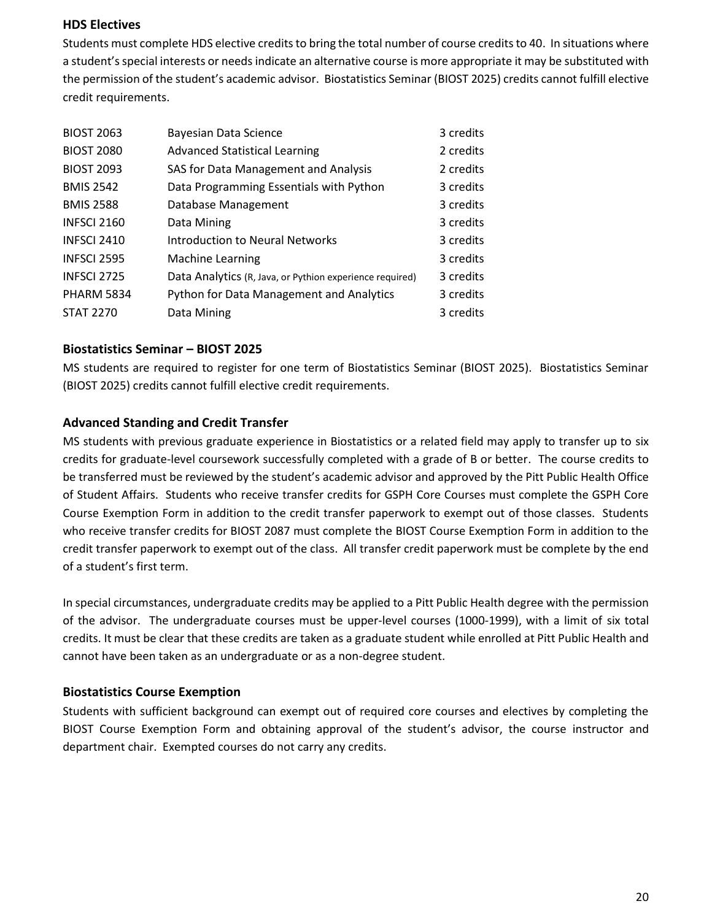#### **HDS Electives**

Students must complete HDS elective credits to bring the total number of course credits to 40. In situations where a student's special interests or needs indicate an alternative course is more appropriate it may be substituted with the permission of the student's academic advisor. Biostatistics Seminar (BIOST 2025) credits cannot fulfill elective credit requirements.

| <b>BIOST 2063</b>  | <b>Bayesian Data Science</b>                             | 3 credits |
|--------------------|----------------------------------------------------------|-----------|
| <b>BIOST 2080</b>  | <b>Advanced Statistical Learning</b>                     | 2 credits |
| <b>BIOST 2093</b>  | SAS for Data Management and Analysis                     | 2 credits |
| <b>BMIS 2542</b>   | Data Programming Essentials with Python                  | 3 credits |
| <b>BMIS 2588</b>   | Database Management                                      | 3 credits |
| <b>INFSCI 2160</b> | Data Mining                                              | 3 credits |
| <b>INFSCI 2410</b> | <b>Introduction to Neural Networks</b>                   | 3 credits |
| <b>INFSCI 2595</b> | <b>Machine Learning</b>                                  | 3 credits |
| <b>INFSCI 2725</b> | Data Analytics (R, Java, or Pythion experience required) | 3 credits |
| PHARM 5834         | <b>Python for Data Management and Analytics</b>          | 3 credits |
| <b>STAT 2270</b>   | Data Mining                                              | 3 credits |

#### **Biostatistics Seminar – BIOST 2025**

MS students are required to register for one term of Biostatistics Seminar (BIOST 2025). Biostatistics Seminar (BIOST 2025) credits cannot fulfill elective credit requirements.

## **Advanced Standing and Credit Transfer**

MS students with previous graduate experience in Biostatistics or a related field may apply to transfer up to six credits for graduate-level coursework successfully completed with a grade of B or better. The course credits to be transferred must be reviewed by the student's academic advisor and approved by the Pitt Public Health Office of Student Affairs. Students who receive transfer credits for GSPH Core Courses must complete the GSPH Core Course Exemption Form in addition to the credit transfer paperwork to exempt out of those classes. Students who receive transfer credits for BIOST 2087 must complete the BIOST Course Exemption Form in addition to the credit transfer paperwork to exempt out of the class. All transfer credit paperwork must be complete by the end of a student's first term.

In special circumstances, undergraduate credits may be applied to a Pitt Public Health degree with the permission of the advisor. The undergraduate courses must be upper-level courses (1000-1999), with a limit of six total credits. It must be clear that these credits are taken as a graduate student while enrolled at Pitt Public Health and cannot have been taken as an undergraduate or as a non-degree student.

#### **Biostatistics Course Exemption**

Students with sufficient background can exempt out of required core courses and electives by completing the BIOST Course Exemption Form and obtaining approval of the student's advisor, the course instructor and department chair. Exempted courses do not carry any credits.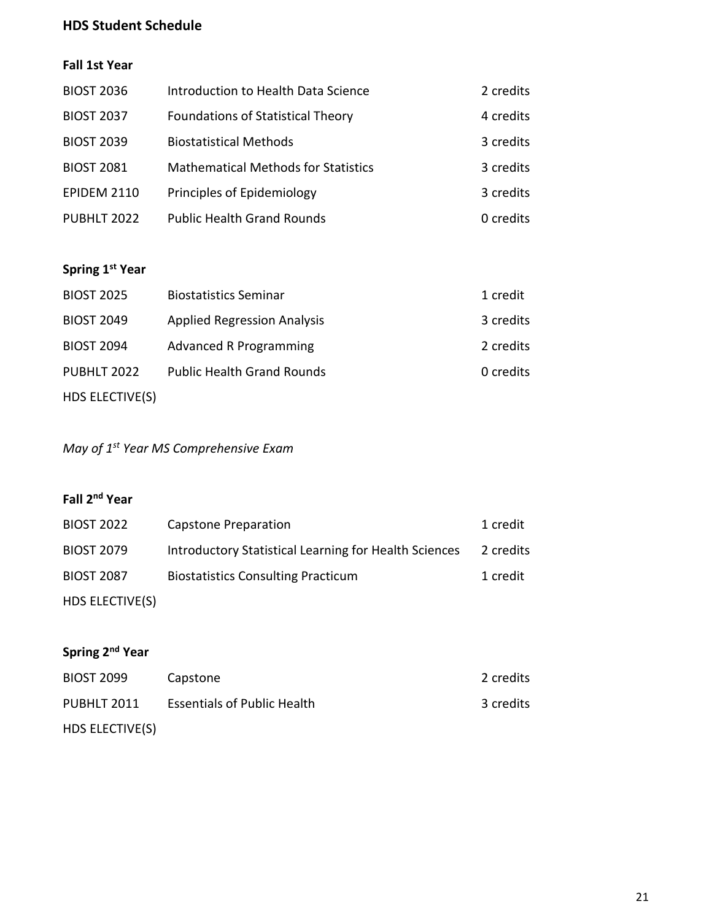# **HDS Student Schedule**

# **Fall 1st Year**

| <b>BIOST 2036</b>  | Introduction to Health Data Science        | 2 credits |
|--------------------|--------------------------------------------|-----------|
| <b>BIOST 2037</b>  | <b>Foundations of Statistical Theory</b>   | 4 credits |
| <b>BIOST 2039</b>  | <b>Biostatistical Methods</b>              | 3 credits |
| <b>BIOST 2081</b>  | <b>Mathematical Methods for Statistics</b> | 3 credits |
| <b>EPIDEM 2110</b> | Principles of Epidemiology                 | 3 credits |
| PUBHLT 2022        | <b>Public Health Grand Rounds</b>          | 0 credits |

# **Spring 1st Year**

| <b>BIOST 2025</b> | <b>Biostatistics Seminar</b>       | 1 credit  |
|-------------------|------------------------------------|-----------|
| <b>BIOST 2049</b> | <b>Applied Regression Analysis</b> | 3 credits |
| <b>BIOST 2094</b> | <b>Advanced R Programming</b>      | 2 credits |
| PUBHLT 2022       | <b>Public Health Grand Rounds</b>  | 0 credits |
| HDS ELECTIVE(S)   |                                    |           |

*May of 1st Year MS Comprehensive Exam*

# **Fall 2nd Year**

| <b>BIOST 2022</b> | Capstone Preparation                                  | 1 credit  |
|-------------------|-------------------------------------------------------|-----------|
| <b>BIOST 2079</b> | Introductory Statistical Learning for Health Sciences | 2 credits |
| <b>BIOST 2087</b> | <b>Biostatistics Consulting Practicum</b>             | 1 credit  |
| HDS ELECTIVE(S)   |                                                       |           |

# **Spring 2nd Year**

| <b>BIOST 2099</b> | Capstone                           | 2 credits |
|-------------------|------------------------------------|-----------|
| PUBHLT 2011       | <b>Essentials of Public Health</b> | 3 credits |
| HDS ELECTIVE(S)   |                                    |           |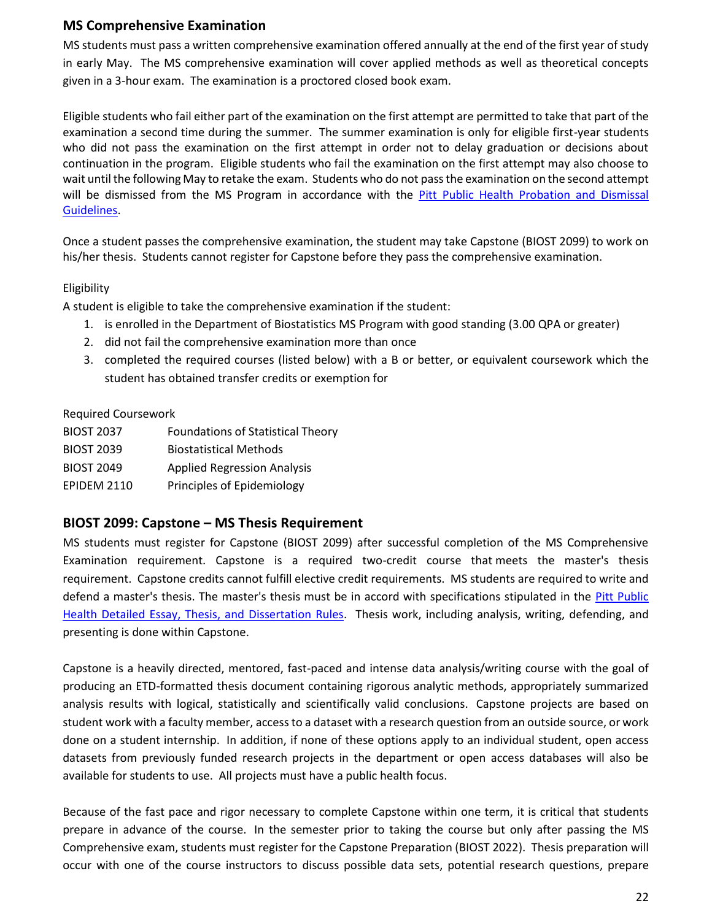# **MS Comprehensive Examination**

MS students must pass a written comprehensive examination offered annually at the end of the first year of study in early May. The MS comprehensive examination will cover applied methods as well as theoretical concepts given in a 3-hour exam. The examination is a proctored closed book exam.

Eligible students who fail either part of the examination on the first attempt are permitted to take that part of the examination a second time during the summer. The summer examination is only for eligible first-year students who did not pass the examination on the first attempt in order not to delay graduation or decisions about continuation in the program. Eligible students who fail the examination on the first attempt may also choose to wait until the following May to retake the exam. Students who do not pass the examination on the second attempt will be dismissed from the MS Program in accordance with the Pitt Public Health Probation and Dismissal [Guidelines.](http://publichealth.pitt.edu/home/academics/academic-handbook-degree-requirements/detailed-policies-and-references)

Once a student passes the comprehensive examination, the student may take Capstone (BIOST 2099) to work on his/her thesis. Students cannot register for Capstone before they pass the comprehensive examination.

#### Eligibility

A student is eligible to take the comprehensive examination if the student:

- 1. is enrolled in the Department of Biostatistics MS Program with good standing (3.00 QPA or greater)
- 2. did not fail the comprehensive examination more than once
- 3. completed the required courses (listed below) with a B or better, or equivalent coursework which the student has obtained transfer credits or exemption for

#### Required Coursework

| <b>BIOST 2037</b>  | <b>Foundations of Statistical Theory</b> |
|--------------------|------------------------------------------|
| <b>BIOST 2039</b>  | <b>Biostatistical Methods</b>            |
| <b>BIOST 2049</b>  | <b>Applied Regression Analysis</b>       |
| <b>EPIDEM 2110</b> | Principles of Epidemiology               |

#### **BIOST 2099: Capstone – MS Thesis Requirement**

MS students must register for Capstone (BIOST 2099) after successful completion of the MS Comprehensive Examination requirement. Capstone is a required two-credit course that meets the master's thesis requirement. Capstone credits cannot fulfill elective credit requirements. MS students are required to write and defend a master's thesis. The master's thesis must be in accord with specifications stipulated in the [Pitt Public](http://publichealth.pitt.edu/home/academics/academic-handbook-degree-requirements/detailed-policies-and-references)  [Health Detailed Essay, Thesis, and Dissertation Rules.](http://publichealth.pitt.edu/home/academics/academic-handbook-degree-requirements/detailed-policies-and-references) Thesis work, including analysis, writing, defending, and presenting is done within Capstone.

Capstone is a heavily directed, mentored, fast-paced and intense data analysis/writing course with the goal of producing an ETD-formatted thesis document containing rigorous analytic methods, appropriately summarized analysis results with logical, statistically and scientifically valid conclusions. Capstone projects are based on student work with a faculty member, access to a dataset with a research question from an outside source, or work done on a student internship. In addition, if none of these options apply to an individual student, open access datasets from previously funded research projects in the department or open access databases will also be available for students to use. All projects must have a public health focus.

Because of the fast pace and rigor necessary to complete Capstone within one term, it is critical that students prepare in advance of the course. In the semester prior to taking the course but only after passing the MS Comprehensive exam, students must register for the Capstone Preparation (BIOST 2022). Thesis preparation will occur with one of the course instructors to discuss possible data sets, potential research questions, prepare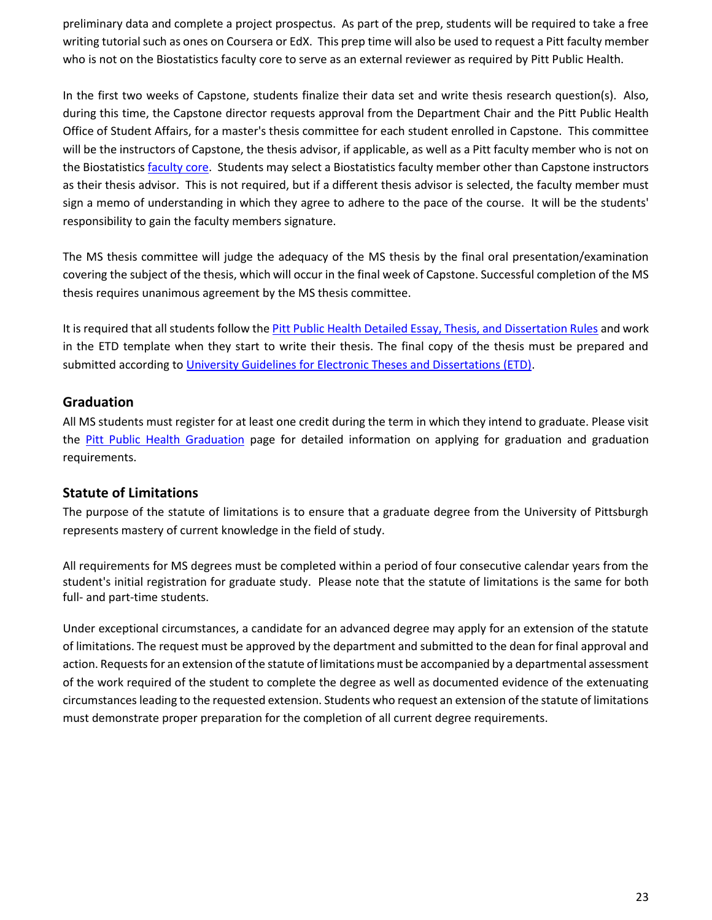preliminary data and complete a project prospectus. As part of the prep, students will be required to take a free writing tutorial such as ones on Coursera or EdX. This prep time will also be used to request a Pitt faculty member who is not on the Biostatistics faculty core to serve as an external reviewer as required by Pitt Public Health.

In the first two weeks of Capstone, students finalize their data set and write thesis research question(s). Also, during this time, the Capstone director requests approval from the Department Chair and the Pitt Public Health Office of Student Affairs, for a master's thesis committee for each student enrolled in Capstone. This committee will be the instructors of Capstone, the thesis advisor, if applicable, as well as a Pitt faculty member who is not on the Biostatistics [faculty core.](https://www.publichealth.pitt.edu/home/academics/academic-handbook-degree-requirements/graduation-information/core-faculty) Students may select a Biostatistics faculty member other than Capstone instructors as their thesis advisor. This is not required, but if a different thesis advisor is selected, the faculty member must sign a memo of understanding in which they agree to adhere to the pace of the course. It will be the students' responsibility to gain the faculty members signature.

The MS thesis committee will judge the adequacy of the MS thesis by the final oral presentation/examination covering the subject of the thesis, which will occur in the final week of Capstone. Successful completion of the MS thesis requires unanimous agreement by the MS thesis committee.

It is required that all students follow th[e Pitt Public Health Detailed Essay, Thesis, and Dissertation Rules](http://publichealth.pitt.edu/home/academics/academic-handbook-degree-requirements/detailed-policies-and-references) and work in the ETD template when they start to write their thesis. The final copy of the thesis must be prepared and submitted according to [University Guidelines for Electronic Theses and Dissertations \(ETD\).](https://etd.pitt.edu/)

## **Graduation**

All MS students must register for at least one credit during the term in which they intend to graduate. Please visit the [Pitt Public Health Graduation](https://www.publichealth.pitt.edu/graduation) page for detailed information on applying for graduation and graduation requirements.

# **Statute of Limitations**

The purpose of the statute of limitations is to ensure that a graduate degree from the University of Pittsburgh represents mastery of current knowledge in the field of study.

All requirements for MS degrees must be completed within a period of four consecutive calendar years from the student's initial registration for graduate study. Please note that the statute of limitations is the same for both full- and part-time students.

Under exceptional circumstances, a candidate for an advanced degree may apply for an extension of the statute of limitations. The request must be approved by the department and submitted to the dean for final approval and action. Requests for an extension of the statute of limitations must be accompanied by a departmental assessment of the work required of the student to complete the degree as well as documented evidence of the extenuating circumstances leading to the requested extension. Students who request an extension of the statute of limitations must demonstrate proper preparation for the completion of all current degree requirements.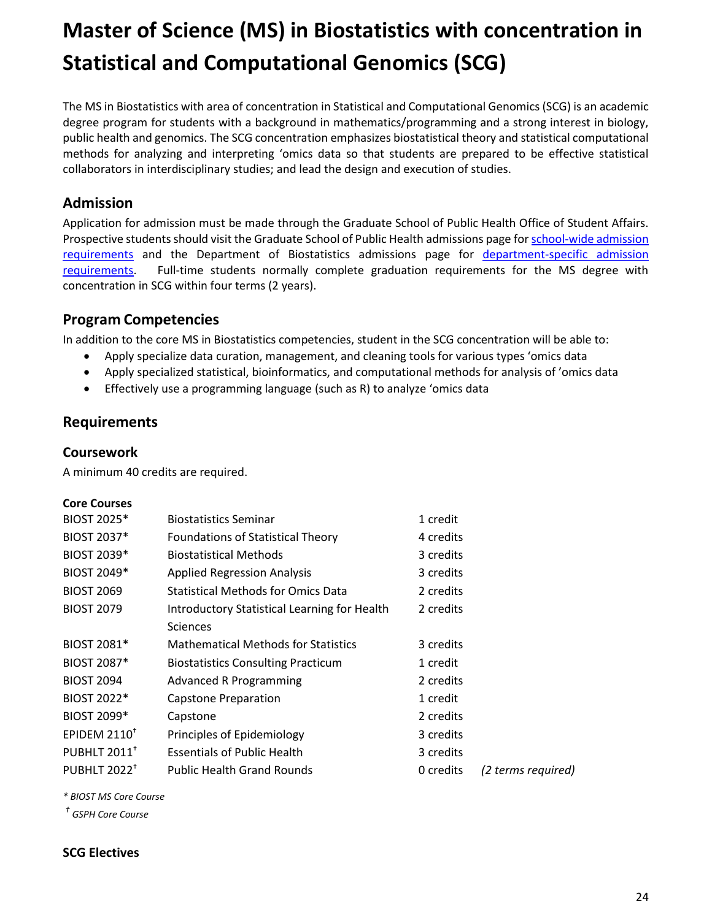# **Master of Science (MS) in Biostatistics with concentration in Statistical and Computational Genomics (SCG)**

The MS in Biostatistics with area of concentration in Statistical and Computational Genomics (SCG) is an academic degree program for students with a background in mathematics/programming and a strong interest in biology, public health and genomics. The SCG concentration emphasizes biostatistical theory and statistical computational methods for analyzing and interpreting 'omics data so that students are prepared to be effective statistical collaborators in interdisciplinary studies; and lead the design and execution of studies.

# **Admission**

Application for admission must be made through the Graduate School of Public Health Office of Student Affairs. Prospective students should visit the Graduate School of Public Health admissions page fo[r school-wide admission](https://www.publichealth.pitt.edu/home/prospective-students/admissions/how-to-apply/requirements)  [requirements](https://www.publichealth.pitt.edu/home/prospective-students/admissions/how-to-apply/requirements) and the Department of Biostatistics admissions page for [department-specific admission](https://www.publichealth.pitt.edu/biostatistics/admissions-aid/admissions)  [requirements.](https://www.publichealth.pitt.edu/biostatistics/admissions-aid/admissions) Full-time students normally complete graduation requirements for the MS degree with concentration in SCG within four terms (2 years).

# **Program Competencies**

In addition to the core MS in Biostatistics competencies, student in the SCG concentration will be able to:

- Apply specialize data curation, management, and cleaning tools for various types 'omics data
- Apply specialized statistical, bioinformatics, and computational methods for analysis of 'omics data
- Effectively use a programming language (such as R) to analyze 'omics data

# **Requirements**

## **Coursework**

A minimum 40 credits are required.

#### **Core Courses**

| <b>BIOST 2025*</b>              | <b>Biostatistics Seminar</b>                 | 1 credit  |                    |
|---------------------------------|----------------------------------------------|-----------|--------------------|
| <b>BIOST 2037*</b>              | <b>Foundations of Statistical Theory</b>     | 4 credits |                    |
| <b>BIOST 2039*</b>              | <b>Biostatistical Methods</b>                | 3 credits |                    |
| <b>BIOST 2049*</b>              | <b>Applied Regression Analysis</b>           | 3 credits |                    |
| <b>BIOST 2069</b>               | <b>Statistical Methods for Omics Data</b>    | 2 credits |                    |
| <b>BIOST 2079</b>               | Introductory Statistical Learning for Health | 2 credits |                    |
|                                 | <b>Sciences</b>                              |           |                    |
| <b>BIOST 2081*</b>              | <b>Mathematical Methods for Statistics</b>   | 3 credits |                    |
| <b>BIOST 2087*</b>              | <b>Biostatistics Consulting Practicum</b>    | 1 credit  |                    |
| <b>BIOST 2094</b>               | <b>Advanced R Programming</b>                | 2 credits |                    |
| <b>BIOST 2022*</b>              | Capstone Preparation                         | 1 credit  |                    |
| <b>BIOST 2099*</b>              | Capstone                                     | 2 credits |                    |
| EPIDEM $2110^+$                 | Principles of Epidemiology                   | 3 credits |                    |
| <b>PUBHLT 2011</b> <sup>+</sup> | <b>Essentials of Public Health</b>           | 3 credits |                    |
| <b>PUBHLT 2022<sup>+</sup></b>  | <b>Public Health Grand Rounds</b>            | 0 credits | (2 terms required) |

*\* BIOST MS Core Course*

*† GSPH Core Course*

#### **SCG Electives**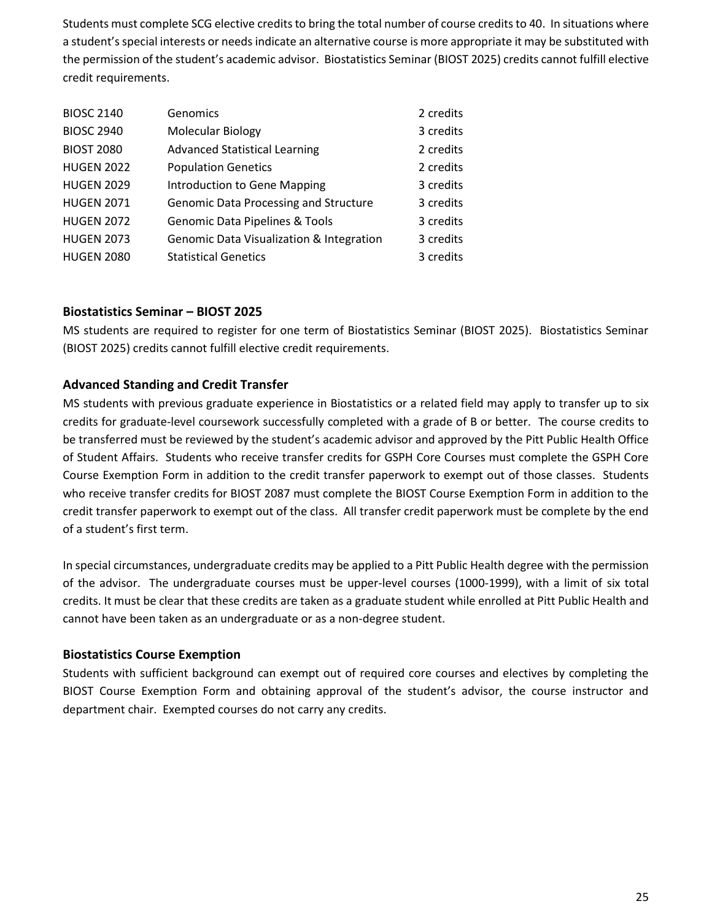Students must complete SCG elective credits to bring the total number of course credits to 40. In situations where a student's special interests or needs indicate an alternative course is more appropriate it may be substituted with the permission of the student's academic advisor. Biostatistics Seminar (BIOST 2025) credits cannot fulfill elective credit requirements.

| <b>BIOSC 2140</b> | Genomics                                            | 2 credits |
|-------------------|-----------------------------------------------------|-----------|
| <b>BIOSC 2940</b> | <b>Molecular Biology</b>                            | 3 credits |
| <b>BIOST 2080</b> | <b>Advanced Statistical Learning</b>                | 2 credits |
| <b>HUGEN 2022</b> | <b>Population Genetics</b>                          | 2 credits |
| <b>HUGEN 2029</b> | Introduction to Gene Mapping                        | 3 credits |
| <b>HUGEN 2071</b> | <b>Genomic Data Processing and Structure</b>        | 3 credits |
| <b>HUGEN 2072</b> | <b>Genomic Data Pipelines &amp; Tools</b>           | 3 credits |
| <b>HUGEN 2073</b> | <b>Genomic Data Visualization &amp; Integration</b> | 3 credits |
| <b>HUGEN 2080</b> | <b>Statistical Genetics</b>                         | 3 credits |

#### **Biostatistics Seminar – BIOST 2025**

MS students are required to register for one term of Biostatistics Seminar (BIOST 2025). Biostatistics Seminar (BIOST 2025) credits cannot fulfill elective credit requirements.

## **Advanced Standing and Credit Transfer**

MS students with previous graduate experience in Biostatistics or a related field may apply to transfer up to six credits for graduate-level coursework successfully completed with a grade of B or better. The course credits to be transferred must be reviewed by the student's academic advisor and approved by the Pitt Public Health Office of Student Affairs. Students who receive transfer credits for GSPH Core Courses must complete the GSPH Core Course Exemption Form in addition to the credit transfer paperwork to exempt out of those classes. Students who receive transfer credits for BIOST 2087 must complete the BIOST Course Exemption Form in addition to the credit transfer paperwork to exempt out of the class. All transfer credit paperwork must be complete by the end of a student's first term.

In special circumstances, undergraduate credits may be applied to a Pitt Public Health degree with the permission of the advisor. The undergraduate courses must be upper-level courses (1000-1999), with a limit of six total credits. It must be clear that these credits are taken as a graduate student while enrolled at Pitt Public Health and cannot have been taken as an undergraduate or as a non-degree student.

#### **Biostatistics Course Exemption**

Students with sufficient background can exempt out of required core courses and electives by completing the BIOST Course Exemption Form and obtaining approval of the student's advisor, the course instructor and department chair. Exempted courses do not carry any credits.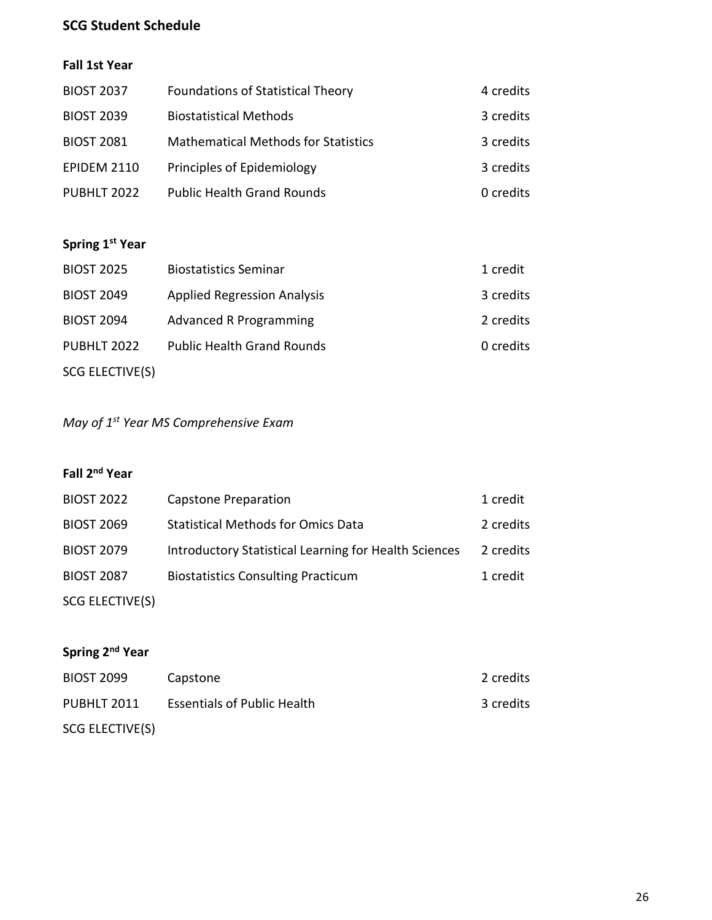# **SCG Student Schedule**

# **Fall 1st Year**

| <b>BIOST 2037</b>  | <b>Foundations of Statistical Theory</b>   | 4 credits |
|--------------------|--------------------------------------------|-----------|
| <b>BIOST 2039</b>  | <b>Biostatistical Methods</b>              | 3 credits |
| <b>BIOST 2081</b>  | <b>Mathematical Methods for Statistics</b> | 3 credits |
| <b>EPIDEM 2110</b> | Principles of Epidemiology                 | 3 credits |
| PUBHLT 2022        | <b>Public Health Grand Rounds</b>          | 0 credits |

# **Spring 1st Year**

| <b>BIOST 2025</b> | <b>Biostatistics Seminar</b>       | 1 credit  |
|-------------------|------------------------------------|-----------|
| <b>BIOST 2049</b> | <b>Applied Regression Analysis</b> | 3 credits |
| <b>BIOST 2094</b> | <b>Advanced R Programming</b>      | 2 credits |
| PUBHLT 2022       | <b>Public Health Grand Rounds</b>  | 0 credits |
| SCG ELECTIVE(S)   |                                    |           |

# *May of 1st Year MS Comprehensive Exam*

# **Fall 2nd Year**

| <b>BIOST 2022</b> | <b>Capstone Preparation</b>                           | 1 credit  |
|-------------------|-------------------------------------------------------|-----------|
| <b>BIOST 2069</b> | <b>Statistical Methods for Omics Data</b>             | 2 credits |
| <b>BIOST 2079</b> | Introductory Statistical Learning for Health Sciences | 2 credits |
| <b>BIOST 2087</b> | <b>Biostatistics Consulting Practicum</b>             | 1 credit  |
| SCG ELECTIVE(S)   |                                                       |           |

# **Spring 2nd Year**

| <b>BIOST 2099</b> | Capstone                           | 2 credits |
|-------------------|------------------------------------|-----------|
| PUBHLT 2011       | <b>Essentials of Public Health</b> | 3 credits |
| SCG ELECTIVE(S)   |                                    |           |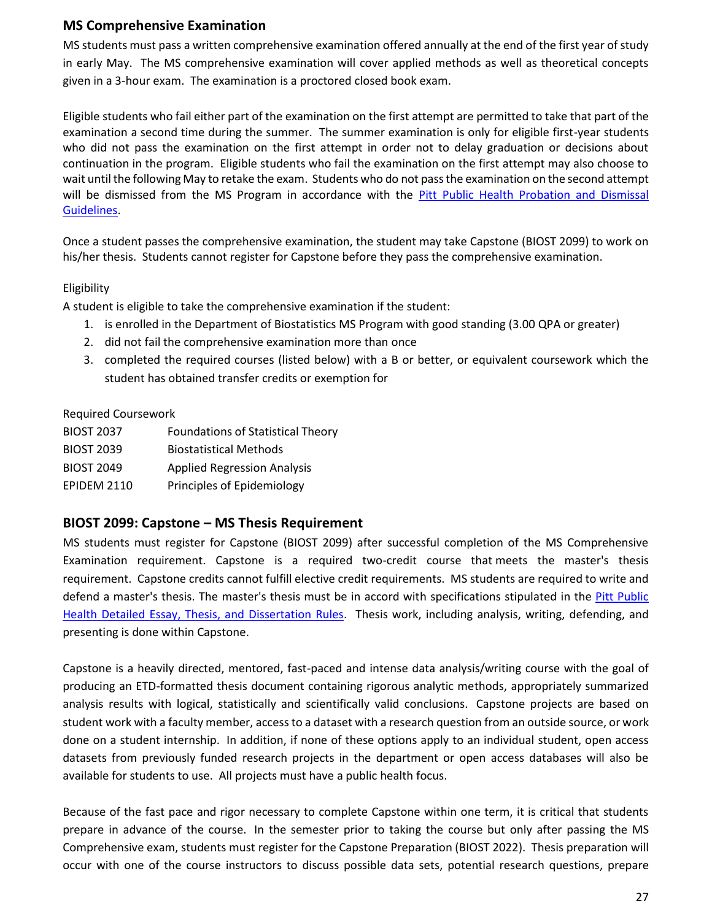# **MS Comprehensive Examination**

MS students must pass a written comprehensive examination offered annually at the end of the first year of study in early May. The MS comprehensive examination will cover applied methods as well as theoretical concepts given in a 3-hour exam. The examination is a proctored closed book exam.

Eligible students who fail either part of the examination on the first attempt are permitted to take that part of the examination a second time during the summer. The summer examination is only for eligible first-year students who did not pass the examination on the first attempt in order not to delay graduation or decisions about continuation in the program. Eligible students who fail the examination on the first attempt may also choose to wait until the following May to retake the exam. Students who do not pass the examination on the second attempt will be dismissed from the MS Program in accordance with the Pitt Public Health Probation and Dismissal [Guidelines.](http://publichealth.pitt.edu/home/academics/academic-handbook-degree-requirements/detailed-policies-and-references)

Once a student passes the comprehensive examination, the student may take Capstone (BIOST 2099) to work on his/her thesis. Students cannot register for Capstone before they pass the comprehensive examination.

#### Eligibility

A student is eligible to take the comprehensive examination if the student:

- 1. is enrolled in the Department of Biostatistics MS Program with good standing (3.00 QPA or greater)
- 2. did not fail the comprehensive examination more than once
- 3. completed the required courses (listed below) with a B or better, or equivalent coursework which the student has obtained transfer credits or exemption for

#### Required Coursework

| <b>BIOST 2037</b>  | <b>Foundations of Statistical Theory</b> |
|--------------------|------------------------------------------|
| <b>BIOST 2039</b>  | <b>Biostatistical Methods</b>            |
| <b>BIOST 2049</b>  | <b>Applied Regression Analysis</b>       |
| <b>EPIDEM 2110</b> | Principles of Epidemiology               |

#### **BIOST 2099: Capstone – MS Thesis Requirement**

MS students must register for Capstone (BIOST 2099) after successful completion of the MS Comprehensive Examination requirement. Capstone is a required two-credit course that meets the master's thesis requirement. Capstone credits cannot fulfill elective credit requirements. MS students are required to write and defend a master's thesis. The master's thesis must be in accord with specifications stipulated in the [Pitt Public](http://publichealth.pitt.edu/home/academics/academic-handbook-degree-requirements/detailed-policies-and-references)  [Health Detailed Essay, Thesis, and Dissertation Rules.](http://publichealth.pitt.edu/home/academics/academic-handbook-degree-requirements/detailed-policies-and-references) Thesis work, including analysis, writing, defending, and presenting is done within Capstone.

Capstone is a heavily directed, mentored, fast-paced and intense data analysis/writing course with the goal of producing an ETD-formatted thesis document containing rigorous analytic methods, appropriately summarized analysis results with logical, statistically and scientifically valid conclusions. Capstone projects are based on student work with a faculty member, access to a dataset with a research question from an outside source, or work done on a student internship. In addition, if none of these options apply to an individual student, open access datasets from previously funded research projects in the department or open access databases will also be available for students to use. All projects must have a public health focus.

Because of the fast pace and rigor necessary to complete Capstone within one term, it is critical that students prepare in advance of the course. In the semester prior to taking the course but only after passing the MS Comprehensive exam, students must register for the Capstone Preparation (BIOST 2022). Thesis preparation will occur with one of the course instructors to discuss possible data sets, potential research questions, prepare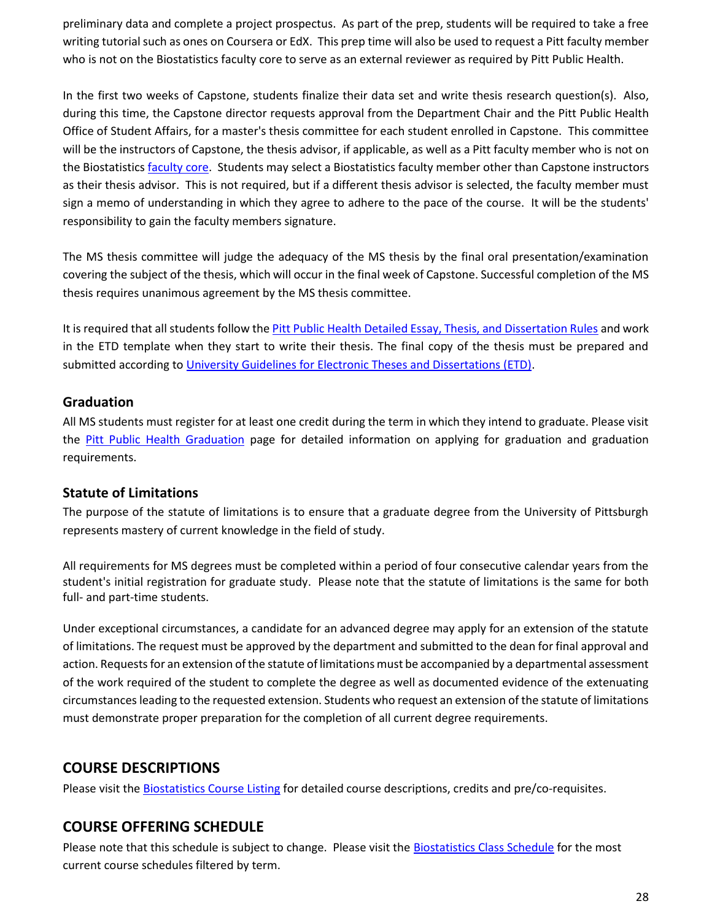preliminary data and complete a project prospectus. As part of the prep, students will be required to take a free writing tutorial such as ones on Coursera or EdX. This prep time will also be used to request a Pitt faculty member who is not on the Biostatistics faculty core to serve as an external reviewer as required by Pitt Public Health.

In the first two weeks of Capstone, students finalize their data set and write thesis research question(s). Also, during this time, the Capstone director requests approval from the Department Chair and the Pitt Public Health Office of Student Affairs, for a master's thesis committee for each student enrolled in Capstone. This committee will be the instructors of Capstone, the thesis advisor, if applicable, as well as a Pitt faculty member who is not on the Biostatistics [faculty core.](https://www.publichealth.pitt.edu/home/academics/academic-handbook-degree-requirements/graduation-information/core-faculty) Students may select a Biostatistics faculty member other than Capstone instructors as their thesis advisor. This is not required, but if a different thesis advisor is selected, the faculty member must sign a memo of understanding in which they agree to adhere to the pace of the course. It will be the students' responsibility to gain the faculty members signature.

The MS thesis committee will judge the adequacy of the MS thesis by the final oral presentation/examination covering the subject of the thesis, which will occur in the final week of Capstone. Successful completion of the MS thesis requires unanimous agreement by the MS thesis committee.

It is required that all students follow th[e Pitt Public Health Detailed Essay, Thesis, and Dissertation Rules](http://publichealth.pitt.edu/home/academics/academic-handbook-degree-requirements/detailed-policies-and-references) and work in the ETD template when they start to write their thesis. The final copy of the thesis must be prepared and submitted according to [University Guidelines for Electronic Theses and Dissertations \(ETD\).](https://etd.pitt.edu/)

## **Graduation**

All MS students must register for at least one credit during the term in which they intend to graduate. Please visit the [Pitt Public Health Graduation](https://www.publichealth.pitt.edu/graduation) page for detailed information on applying for graduation and graduation requirements.

# **Statute of Limitations**

The purpose of the statute of limitations is to ensure that a graduate degree from the University of Pittsburgh represents mastery of current knowledge in the field of study.

All requirements for MS degrees must be completed within a period of four consecutive calendar years from the student's initial registration for graduate study. Please note that the statute of limitations is the same for both full- and part-time students.

Under exceptional circumstances, a candidate for an advanced degree may apply for an extension of the statute of limitations. The request must be approved by the department and submitted to the dean for final approval and action. Requests for an extension of the statute of limitations must be accompanied by a departmental assessment of the work required of the student to complete the degree as well as documented evidence of the extenuating circumstances leading to the requested extension. Students who request an extension of the statute of limitations must demonstrate proper preparation for the completion of all current degree requirements.

# **COURSE DESCRIPTIONS**

Please visit the [Biostatistics Course Listing](https://www.publichealth.pitt.edu/home/academics/courses/course-descriptions?subject=&term=&filter=) for detailed course descriptions, credits and pre/co-requisites.

# **COURSE OFFERING SCHEDULE**

Please note that this schedule is subject to change. Please visit the [Biostatistics Class Schedule](https://www.publichealth.pitt.edu/home/academics/courses/schedules) for the most current course schedules filtered by term.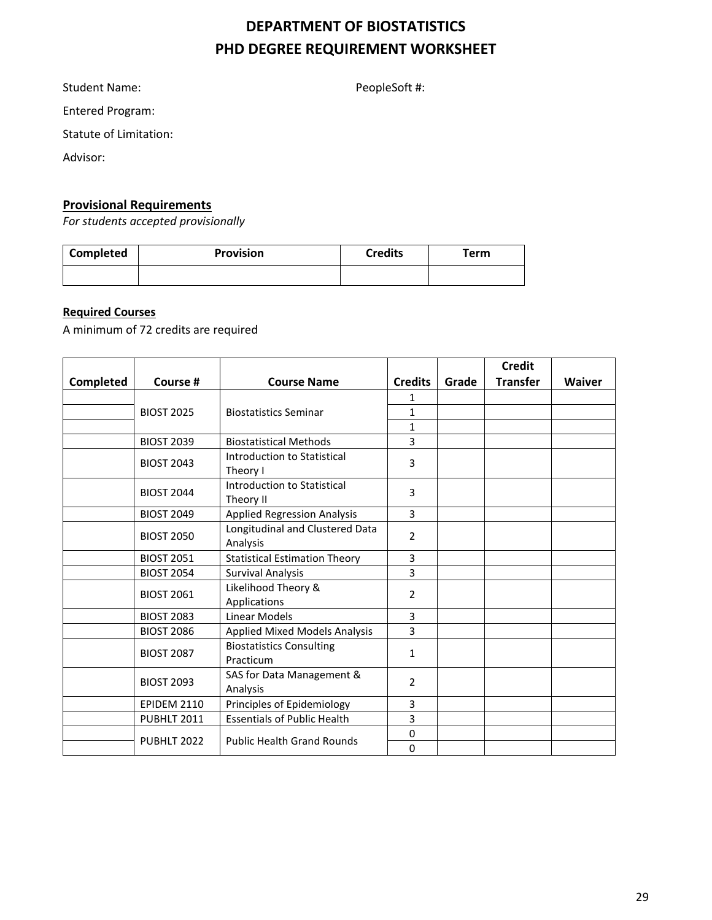# **DEPARTMENT OF BIOSTATISTICS PHD DEGREE REQUIREMENT WORKSHEET**

Student Name: The PeopleSoft #:

Entered Program:

Statute of Limitation:

Advisor:

# **Provisional Requirements**

*For students accepted provisionally*

| Completed | <b>Provision</b> | <b>Credits</b> | $\tau$ erm |
|-----------|------------------|----------------|------------|
|           |                  |                |            |

#### **Required Courses**

A minimum of 72 credits are required

|           |                    |                                              |                |       | <b>Credit</b>   |               |
|-----------|--------------------|----------------------------------------------|----------------|-------|-----------------|---------------|
| Completed | Course #           | <b>Course Name</b>                           | <b>Credits</b> | Grade | <b>Transfer</b> | <b>Waiver</b> |
|           |                    |                                              | 1              |       |                 |               |
|           | <b>BIOST 2025</b>  | <b>Biostatistics Seminar</b>                 | $\mathbf{1}$   |       |                 |               |
|           |                    |                                              | $\mathbf{1}$   |       |                 |               |
|           | <b>BIOST 2039</b>  | <b>Biostatistical Methods</b>                | 3              |       |                 |               |
|           | <b>BIOST 2043</b>  | Introduction to Statistical<br>Theory I      | 3              |       |                 |               |
|           | <b>BIOST 2044</b>  | Introduction to Statistical<br>Theory II     | 3              |       |                 |               |
|           | <b>BIOST 2049</b>  | <b>Applied Regression Analysis</b>           | 3              |       |                 |               |
|           | <b>BIOST 2050</b>  | Longitudinal and Clustered Data<br>Analysis  |                |       |                 |               |
|           | <b>BIOST 2051</b>  | <b>Statistical Estimation Theory</b>         | 3              |       |                 |               |
|           | <b>BIOST 2054</b>  | <b>Survival Analysis</b>                     | 3              |       |                 |               |
|           | <b>BIOST 2061</b>  | Likelihood Theory &<br>Applications          | $\overline{2}$ |       |                 |               |
|           | <b>BIOST 2083</b>  | Linear Models                                | 3              |       |                 |               |
|           | <b>BIOST 2086</b>  | <b>Applied Mixed Models Analysis</b>         | 3              |       |                 |               |
|           | <b>BIOST 2087</b>  | <b>Biostatistics Consulting</b><br>Practicum |                |       |                 |               |
|           | <b>BIOST 2093</b>  | SAS for Data Management &<br>Analysis        | $\overline{2}$ |       |                 |               |
|           | <b>EPIDEM 2110</b> | Principles of Epidemiology                   | 3              |       |                 |               |
|           | PUBHLT 2011        | <b>Essentials of Public Health</b>           | 3              |       |                 |               |
|           | PUBHLT 2022        | <b>Public Health Grand Rounds</b>            | 0<br>0         |       |                 |               |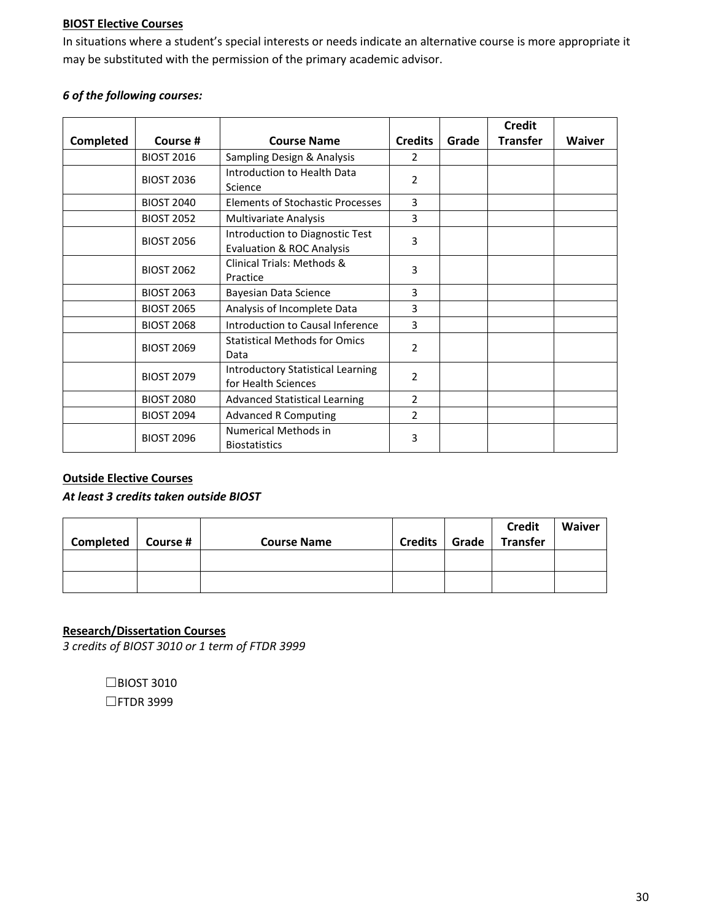#### **BIOST Elective Courses**

In situations where a student's special interests or needs indicate an alternative course is more appropriate it may be substituted with the permission of the primary academic advisor.

#### *6 of the following courses:*

|                  |                                                                                      |                                                                         |                |       | <b>Credit</b>   |               |
|------------------|--------------------------------------------------------------------------------------|-------------------------------------------------------------------------|----------------|-------|-----------------|---------------|
| <b>Completed</b> | Course #                                                                             | <b>Course Name</b>                                                      | <b>Credits</b> | Grade | <b>Transfer</b> | <b>Waiver</b> |
|                  | <b>BIOST 2016</b>                                                                    | Sampling Design & Analysis                                              | 2              |       |                 |               |
|                  | <b>BIOST 2036</b>                                                                    | Introduction to Health Data<br>Science                                  | 2              |       |                 |               |
|                  | <b>BIOST 2040</b>                                                                    | <b>Elements of Stochastic Processes</b>                                 | 3              |       |                 |               |
|                  | <b>BIOST 2052</b>                                                                    | <b>Multivariate Analysis</b>                                            | 3              |       |                 |               |
|                  | <b>BIOST 2056</b>                                                                    | Introduction to Diagnostic Test<br><b>Evaluation &amp; ROC Analysis</b> | 3              |       |                 |               |
|                  | <b>BIOST 2062</b>                                                                    | Clinical Trials: Methods &<br>Practice                                  |                |       |                 |               |
|                  | <b>BIOST 2063</b>                                                                    | Bayesian Data Science                                                   | 3              |       |                 |               |
|                  | <b>BIOST 2065</b>                                                                    | Analysis of Incomplete Data                                             | 3              |       |                 |               |
|                  | <b>BIOST 2068</b>                                                                    | Introduction to Causal Inference                                        | 3              |       |                 |               |
|                  | <b>BIOST 2069</b>                                                                    | <b>Statistical Methods for Omics</b><br>Data                            | $\overline{2}$ |       |                 |               |
|                  | <b>Introductory Statistical Learning</b><br><b>BIOST 2079</b><br>for Health Sciences |                                                                         | $\overline{2}$ |       |                 |               |
|                  | <b>BIOST 2080</b>                                                                    | <b>Advanced Statistical Learning</b>                                    | 2              |       |                 |               |
|                  | <b>BIOST 2094</b>                                                                    | <b>Advanced R Computing</b>                                             | $\overline{2}$ |       |                 |               |
|                  | <b>BIOST 2096</b>                                                                    | Numerical Methods in<br><b>Biostatistics</b>                            | 3              |       |                 |               |

## **Outside Elective Courses**

#### *At least 3 credits taken outside BIOST*

| Completed   Course # | <b>Course Name</b> | <b>Credits</b> | Grade | <b>Credit</b><br><b>Transfer</b> | <b>Waiver</b> |
|----------------------|--------------------|----------------|-------|----------------------------------|---------------|
|                      |                    |                |       |                                  |               |
|                      |                    |                |       |                                  |               |

#### **Research/Dissertation Courses**

*3 credits of BIOST 3010 or 1 term of FTDR 3999*

☐BIOST 3010 ☐FTDR 3999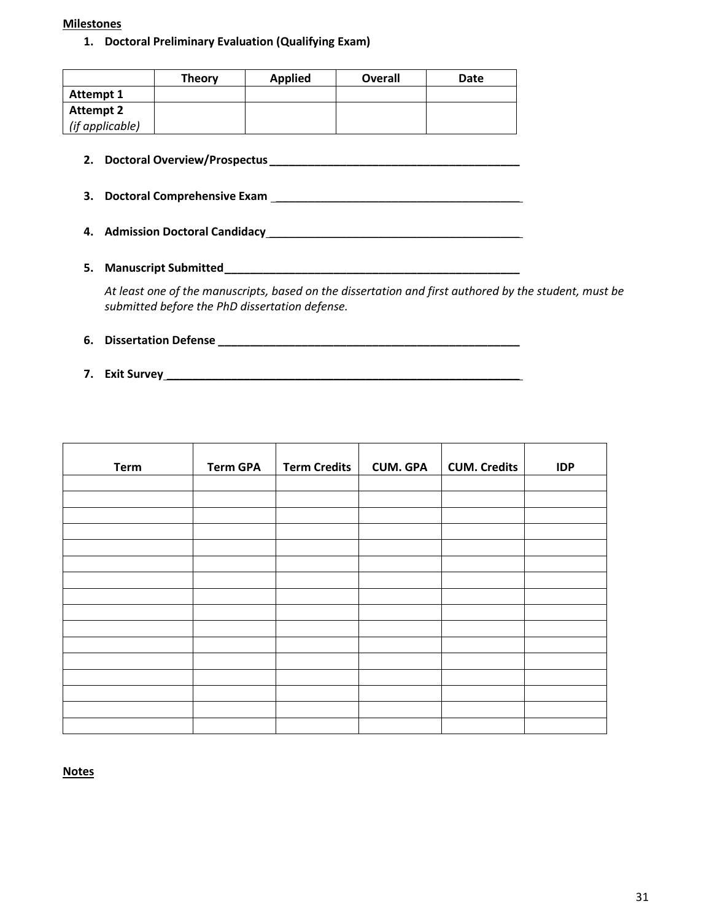#### **Milestones**

#### **1. Doctoral Preliminary Evaluation (Qualifying Exam)**

|                  | <b>Theory</b> | <b>Applied</b> | Overall | Date |
|------------------|---------------|----------------|---------|------|
| Attempt 1        |               |                |         |      |
| <b>Attempt 2</b> |               |                |         |      |
| (if applicable)  |               |                |         |      |

**2. Doctoral Overview/Prospectus \_\_\_\_\_\_\_\_\_\_\_\_\_\_\_\_\_\_\_\_\_\_\_\_\_\_\_\_\_\_\_\_\_\_\_\_\_\_\_**

**3. Doctoral Comprehensive Exam** \_\_\_\_\_\_\_\_\_\_\_\_\_\_\_\_\_\_\_\_\_\_\_\_\_\_\_\_\_\_\_\_\_\_\_\_\_\_

- **4. Admission Doctoral Candidacy** \_\_\_\_\_\_\_\_\_\_\_\_\_\_\_\_\_\_\_\_\_\_\_\_\_\_\_\_\_\_\_\_\_\_\_\_\_\_\_
- **5. Manuscript Submitted\_\_\_\_\_\_\_\_\_\_\_\_\_\_\_\_\_\_\_\_\_\_\_\_\_\_\_\_\_\_\_\_\_\_\_\_\_\_\_\_\_\_\_\_\_\_**

*At least one of the manuscripts, based on the dissertation and first authored by the student, must be submitted before the PhD dissertation defense.*

- **6. Dissertation Defense \_\_\_\_\_\_\_\_\_\_\_\_\_\_\_\_\_\_\_\_\_\_\_\_\_\_\_\_\_\_\_\_\_\_\_\_\_\_\_\_\_\_\_\_\_\_\_**
- **7. Exit Survey \_\_\_\_\_\_\_\_\_\_\_\_\_\_\_\_\_\_\_\_\_\_\_\_\_\_\_\_\_\_\_\_\_\_\_\_\_\_\_\_\_\_\_\_\_\_\_\_\_\_\_\_\_\_\_**

| <b>Term</b> | <b>Term GPA</b> | <b>Term Credits</b> | <b>CUM. GPA</b> | <b>CUM. Credits</b> | <b>IDP</b> |
|-------------|-----------------|---------------------|-----------------|---------------------|------------|
|             |                 |                     |                 |                     |            |
|             |                 |                     |                 |                     |            |
|             |                 |                     |                 |                     |            |
|             |                 |                     |                 |                     |            |
|             |                 |                     |                 |                     |            |
|             |                 |                     |                 |                     |            |
|             |                 |                     |                 |                     |            |
|             |                 |                     |                 |                     |            |
|             |                 |                     |                 |                     |            |
|             |                 |                     |                 |                     |            |
|             |                 |                     |                 |                     |            |
|             |                 |                     |                 |                     |            |
|             |                 |                     |                 |                     |            |
|             |                 |                     |                 |                     |            |
|             |                 |                     |                 |                     |            |
|             |                 |                     |                 |                     |            |

**Notes**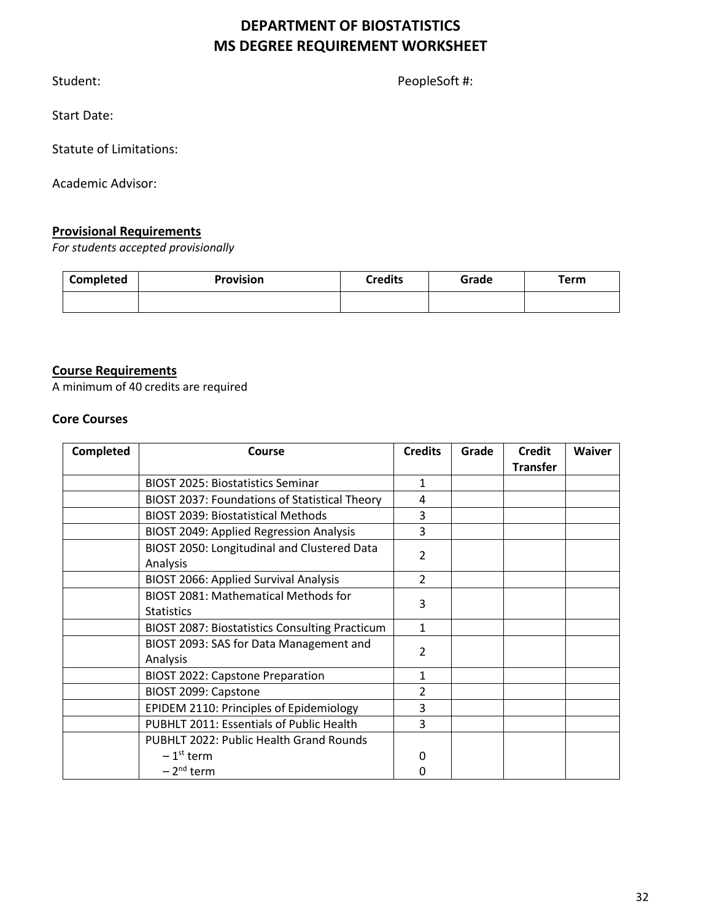# **DEPARTMENT OF BIOSTATISTICS MS DEGREE REQUIREMENT WORKSHEET**

Student: PeopleSoft #:

Start Date:

Statute of Limitations:

Academic Advisor:

# **Provisional Requirements**

*For students accepted provisionally*

| Completed | <b>Provision</b> | <b>Credits</b> | Grade | Term |
|-----------|------------------|----------------|-------|------|
|           |                  |                |       |      |

#### **Course Requirements**

A minimum of 40 credits are required

#### **Core Courses**

| <b>Completed</b> | Course                                                | <b>Credits</b>           | Grade | <b>Credit</b>   | <b>Waiver</b> |
|------------------|-------------------------------------------------------|--------------------------|-------|-----------------|---------------|
|                  |                                                       |                          |       | <b>Transfer</b> |               |
|                  | <b>BIOST 2025: Biostatistics Seminar</b>              | $\mathbf{1}$             |       |                 |               |
|                  | BIOST 2037: Foundations of Statistical Theory         | 4                        |       |                 |               |
|                  | <b>BIOST 2039: Biostatistical Methods</b>             | 3                        |       |                 |               |
|                  | <b>BIOST 2049: Applied Regression Analysis</b>        | 3                        |       |                 |               |
|                  | BIOST 2050: Longitudinal and Clustered Data           | $\overline{\mathcal{L}}$ |       |                 |               |
|                  | Analysis                                              |                          |       |                 |               |
|                  | <b>BIOST 2066: Applied Survival Analysis</b>          | $\overline{\phantom{a}}$ |       |                 |               |
|                  | BIOST 2081: Mathematical Methods for                  | 3                        |       |                 |               |
|                  | <b>Statistics</b>                                     |                          |       |                 |               |
|                  | <b>BIOST 2087: Biostatistics Consulting Practicum</b> | $\mathbf{1}$             |       |                 |               |
|                  | BIOST 2093: SAS for Data Management and               | $\overline{2}$           |       |                 |               |
|                  | Analysis                                              |                          |       |                 |               |
|                  | <b>BIOST 2022: Capstone Preparation</b>               | 1                        |       |                 |               |
|                  | BIOST 2099: Capstone                                  | 2                        |       |                 |               |
|                  | EPIDEM 2110: Principles of Epidemiology               | 3                        |       |                 |               |
|                  | PUBHLT 2011: Essentials of Public Health              | 3                        |       |                 |               |
|                  | <b>PUBHLT 2022: Public Health Grand Rounds</b>        |                          |       |                 |               |
|                  | $-1st$ term                                           | 0                        |       |                 |               |
|                  | $-2nd$ term                                           | 0                        |       |                 |               |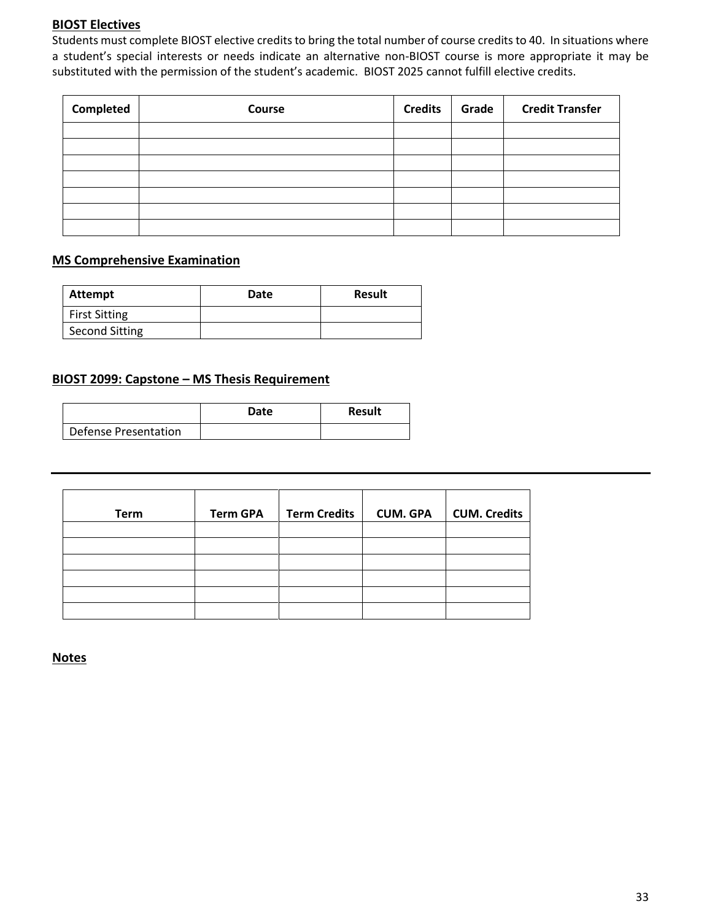#### **BIOST Electives**

Students must complete BIOST elective credits to bring the total number of course credits to 40. In situations where a student's special interests or needs indicate an alternative non-BIOST course is more appropriate it may be substituted with the permission of the student's academic. BIOST 2025 cannot fulfill elective credits.

| Completed | Course | <b>Credits</b> | Grade | <b>Credit Transfer</b> |
|-----------|--------|----------------|-------|------------------------|
|           |        |                |       |                        |
|           |        |                |       |                        |
|           |        |                |       |                        |
|           |        |                |       |                        |
|           |        |                |       |                        |
|           |        |                |       |                        |
|           |        |                |       |                        |

# **MS Comprehensive Examination**

| Attempt              | Date | <b>Result</b> |
|----------------------|------|---------------|
| <b>First Sitting</b> |      |               |
| Second Sitting       |      |               |

# **BIOST 2099: Capstone – MS Thesis Requirement**

|                      | Date | Result |
|----------------------|------|--------|
| Defense Presentation |      |        |

| <b>Term</b> | <b>Term GPA</b> | <b>Term Credits</b> | <b>CUM. GPA</b> | <b>CUM. Credits</b> |
|-------------|-----------------|---------------------|-----------------|---------------------|
|             |                 |                     |                 |                     |
|             |                 |                     |                 |                     |
|             |                 |                     |                 |                     |
|             |                 |                     |                 |                     |
|             |                 |                     |                 |                     |
|             |                 |                     |                 |                     |

**Notes**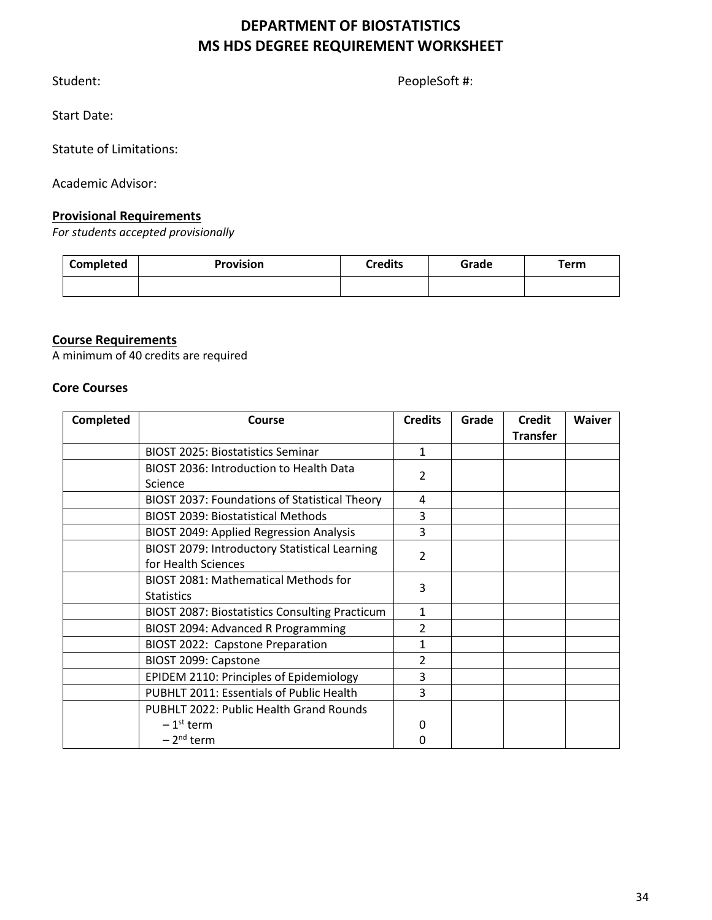# **DEPARTMENT OF BIOSTATISTICS MS HDS DEGREE REQUIREMENT WORKSHEET**

Student: PeopleSoft #:

Start Date:

Statute of Limitations:

Academic Advisor:

### **Provisional Requirements**

*For students accepted provisionally*

| Completed | Provision | <b>Credits</b> | Grade | Term |
|-----------|-----------|----------------|-------|------|
|           |           |                |       |      |

# **Course Requirements**

A minimum of 40 credits are required

#### **Core Courses**

| <b>Completed</b> | Course                                                | <b>Credits</b> | Grade | <b>Credit</b>   | <b>Waiver</b> |
|------------------|-------------------------------------------------------|----------------|-------|-----------------|---------------|
|                  |                                                       |                |       | <b>Transfer</b> |               |
|                  | <b>BIOST 2025: Biostatistics Seminar</b>              | 1              |       |                 |               |
|                  | BIOST 2036: Introduction to Health Data               | 2              |       |                 |               |
|                  | Science                                               |                |       |                 |               |
|                  | BIOST 2037: Foundations of Statistical Theory         | 4              |       |                 |               |
|                  | <b>BIOST 2039: Biostatistical Methods</b>             | 3              |       |                 |               |
|                  | <b>BIOST 2049: Applied Regression Analysis</b>        | 3              |       |                 |               |
|                  | BIOST 2079: Introductory Statistical Learning         | 2              |       |                 |               |
|                  | for Health Sciences                                   |                |       |                 |               |
|                  | BIOST 2081: Mathematical Methods for                  | 3              |       |                 |               |
|                  | <b>Statistics</b>                                     |                |       |                 |               |
|                  | <b>BIOST 2087: Biostatistics Consulting Practicum</b> | $\mathbf{1}$   |       |                 |               |
|                  | BIOST 2094: Advanced R Programming                    | $\overline{2}$ |       |                 |               |
|                  | BIOST 2022: Capstone Preparation                      | 1              |       |                 |               |
|                  | BIOST 2099: Capstone                                  | 2              |       |                 |               |
|                  | EPIDEM 2110: Principles of Epidemiology               | 3              |       |                 |               |
|                  | PUBHLT 2011: Essentials of Public Health              | 3              |       |                 |               |
|                  | PUBHLT 2022: Public Health Grand Rounds               |                |       |                 |               |
|                  | $-1st$ term                                           | 0              |       |                 |               |
|                  | $-2nd$ term                                           | O              |       |                 |               |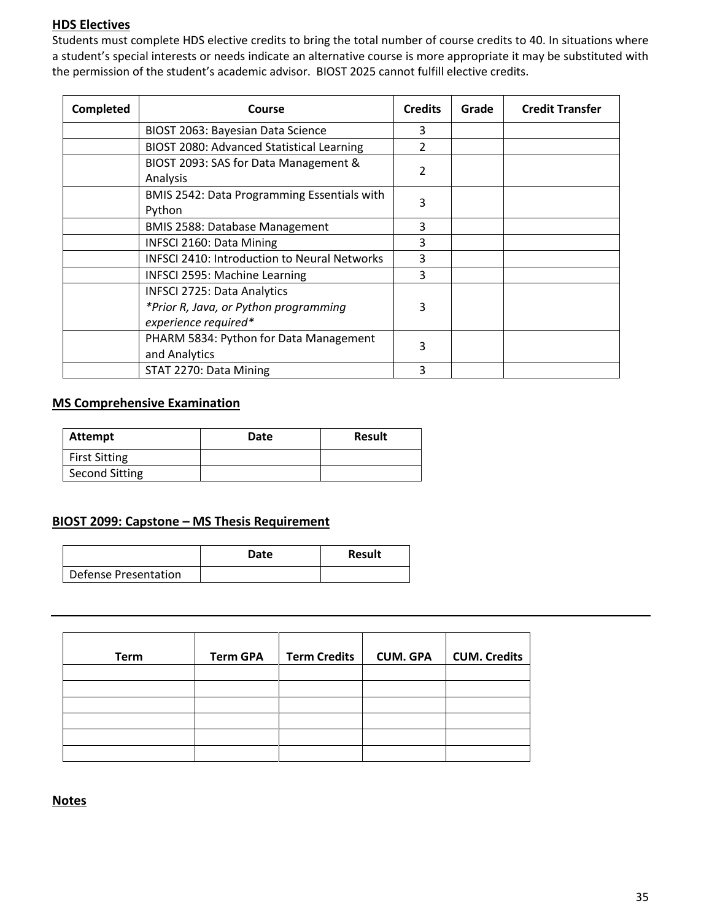# **HDS Electives**

Students must complete HDS elective credits to bring the total number of course credits to 40. In situations where a student's special interests or needs indicate an alternative course is more appropriate it may be substituted with the permission of the student's academic advisor. BIOST 2025 cannot fulfill elective credits.

| Completed | Course                                                                                              | <b>Credits</b> | Grade | <b>Credit Transfer</b> |
|-----------|-----------------------------------------------------------------------------------------------------|----------------|-------|------------------------|
|           | BIOST 2063: Bayesian Data Science                                                                   | 3              |       |                        |
|           | BIOST 2080: Advanced Statistical Learning                                                           | 2              |       |                        |
|           | BIOST 2093: SAS for Data Management &<br>Analysis                                                   | 2              |       |                        |
|           | BMIS 2542: Data Programming Essentials with<br>Python                                               | 3              |       |                        |
|           | <b>BMIS 2588: Database Management</b>                                                               | 3              |       |                        |
|           | <b>INFSCI 2160: Data Mining</b>                                                                     | 3              |       |                        |
|           | <b>INFSCI 2410: Introduction to Neural Networks</b>                                                 | 3              |       |                        |
|           | <b>INFSCI 2595: Machine Learning</b>                                                                | 3              |       |                        |
|           | <b>INFSCI 2725: Data Analytics</b><br>*Prior R, Java, or Python programming<br>experience required* | 3              |       |                        |
|           | PHARM 5834: Python for Data Management<br>and Analytics                                             | 3              |       |                        |
|           | STAT 2270: Data Mining                                                                              | 3              |       |                        |

#### **MS Comprehensive Examination**

| Attempt               | Date | <b>Result</b> |
|-----------------------|------|---------------|
| <b>First Sitting</b>  |      |               |
| <b>Second Sitting</b> |      |               |

#### **BIOST 2099: Capstone – MS Thesis Requirement**

|                      | Date | <b>Result</b> |
|----------------------|------|---------------|
| Defense Presentation |      |               |

| <b>Term</b> | <b>Term GPA</b> | <b>Term Credits</b> | <b>CUM. GPA</b> | <b>CUM. Credits</b> |
|-------------|-----------------|---------------------|-----------------|---------------------|
|             |                 |                     |                 |                     |
|             |                 |                     |                 |                     |
|             |                 |                     |                 |                     |
|             |                 |                     |                 |                     |
|             |                 |                     |                 |                     |
|             |                 |                     |                 |                     |

#### **Notes**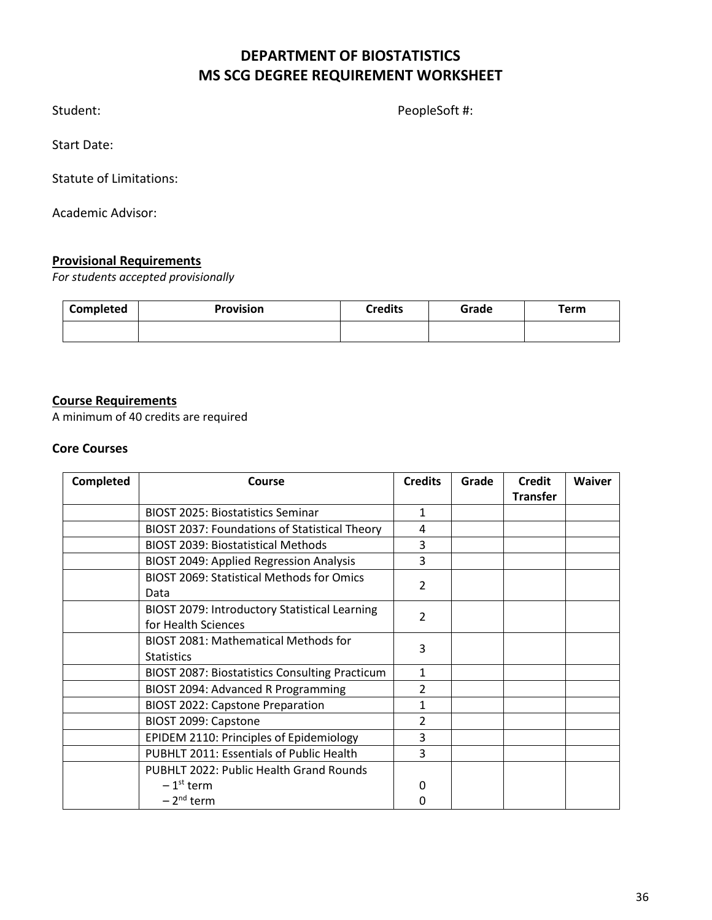# **DEPARTMENT OF BIOSTATISTICS MS SCG DEGREE REQUIREMENT WORKSHEET**

Student: PeopleSoft #:

Start Date:

Statute of Limitations:

Academic Advisor:

# **Provisional Requirements**

*For students accepted provisionally*

| <b>Completed</b> | <b>Provision</b> | <b>Credits</b> | Grade | <b>Term</b> |
|------------------|------------------|----------------|-------|-------------|
|                  |                  |                |       |             |

# **Course Requirements**

A minimum of 40 credits are required

### **Core Courses**

| Completed | Course                                                | <b>Credits</b> | Grade | <b>Credit</b>   | <b>Waiver</b> |
|-----------|-------------------------------------------------------|----------------|-------|-----------------|---------------|
|           |                                                       |                |       | <b>Transfer</b> |               |
|           | <b>BIOST 2025: Biostatistics Seminar</b>              | $\mathbf{1}$   |       |                 |               |
|           | <b>BIOST 2037: Foundations of Statistical Theory</b>  | 4              |       |                 |               |
|           | <b>BIOST 2039: Biostatistical Methods</b>             | 3              |       |                 |               |
|           | <b>BIOST 2049: Applied Regression Analysis</b>        | 3              |       |                 |               |
|           | <b>BIOST 2069: Statistical Methods for Omics</b>      | 2              |       |                 |               |
|           | Data                                                  |                |       |                 |               |
|           | BIOST 2079: Introductory Statistical Learning         | 2              |       |                 |               |
|           | for Health Sciences                                   |                |       |                 |               |
|           | <b>BIOST 2081: Mathematical Methods for</b>           | 3              |       |                 |               |
|           | <b>Statistics</b>                                     |                |       |                 |               |
|           | <b>BIOST 2087: Biostatistics Consulting Practicum</b> | 1              |       |                 |               |
|           | BIOST 2094: Advanced R Programming                    | $\overline{2}$ |       |                 |               |
|           | <b>BIOST 2022: Capstone Preparation</b>               | 1              |       |                 |               |
|           | BIOST 2099: Capstone                                  | 2              |       |                 |               |
|           | EPIDEM 2110: Principles of Epidemiology               | 3              |       |                 |               |
|           | PUBHLT 2011: Essentials of Public Health              | 3              |       |                 |               |
|           | PUBHLT 2022: Public Health Grand Rounds               |                |       |                 |               |
|           | $-1st$ term                                           | Ω              |       |                 |               |
|           | $-2nd$ term                                           | 0              |       |                 |               |